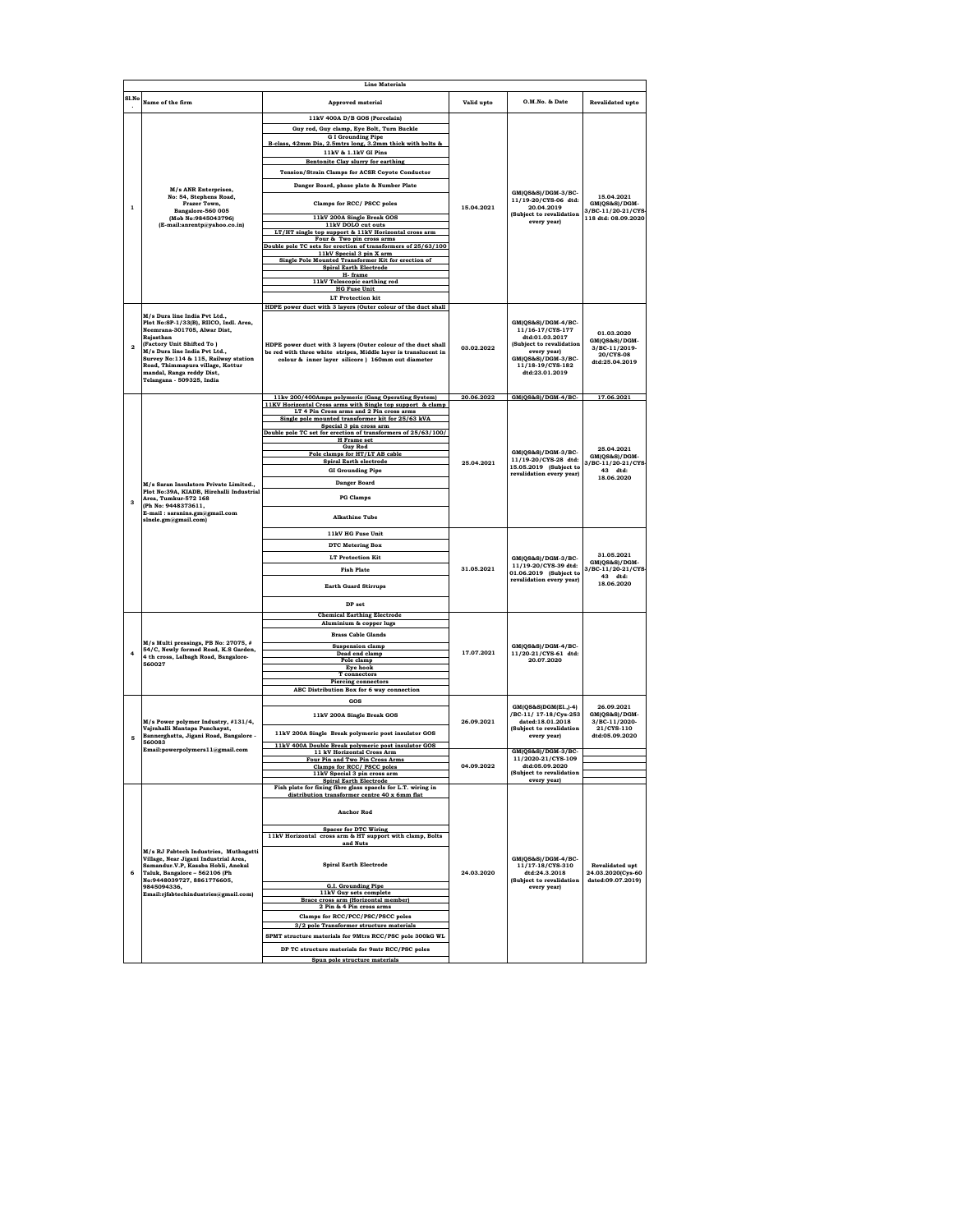|                | <b>Line Materials</b>                                                                                                                                                                      |                                                                                                                                  |            |                                                                                                  |                                             |  |
|----------------|--------------------------------------------------------------------------------------------------------------------------------------------------------------------------------------------|----------------------------------------------------------------------------------------------------------------------------------|------------|--------------------------------------------------------------------------------------------------|---------------------------------------------|--|
| Sl.No          | Name of the firm                                                                                                                                                                           | <b>Approved material</b>                                                                                                         | Valid upto | O.M.No. & Date                                                                                   | <b>Revalidated upto</b>                     |  |
|                |                                                                                                                                                                                            |                                                                                                                                  |            |                                                                                                  |                                             |  |
|                |                                                                                                                                                                                            | 11kV 400A D/B GOS (Porcelain)                                                                                                    |            |                                                                                                  |                                             |  |
|                |                                                                                                                                                                                            | Guy rod, Guy clamp, Eye Bolt, Turn Buckle<br><b>G I Grounding Pipe</b>                                                           |            |                                                                                                  |                                             |  |
|                |                                                                                                                                                                                            | B-class. 42mm Dia. 2.5mtrs long. 3.2mm thick with holts &                                                                        |            |                                                                                                  |                                             |  |
|                |                                                                                                                                                                                            | 11kV & 1.1kV GI Pins                                                                                                             |            |                                                                                                  |                                             |  |
|                |                                                                                                                                                                                            | Bentonite Clay slurry for earthing                                                                                               |            |                                                                                                  |                                             |  |
|                |                                                                                                                                                                                            | <b>Tension/Strain Clamps for ACSR Coyote Conductor</b>                                                                           |            |                                                                                                  |                                             |  |
|                | M/s ANR Enterprises,                                                                                                                                                                       | Danger Board, phase plate & Number Plate                                                                                         |            |                                                                                                  |                                             |  |
|                | No: 54, Stephens Road,                                                                                                                                                                     |                                                                                                                                  |            | GM(QS&S)/DGM-3/BC-<br>11/19-20/CYS-06 dtd:                                                       | 15.04.2021                                  |  |
| $\mathbf{1}$   | Frazer Town,<br>Bangalore-560 005                                                                                                                                                          | Clamps for RCC/ PSCC poles                                                                                                       | 15.04.2021 | 20.04.2019                                                                                       | GM(QS&S)/DGM-<br>3/BC-11/20-21/CYS          |  |
|                | (Mob No:9845043796)                                                                                                                                                                        | 11kV 200A Single Break GOS                                                                                                       |            | (Subject to revalidation<br>every year)                                                          | 118 dtd: 08.09.2020                         |  |
|                | (E-mail:anrentp@yahoo.co.in)                                                                                                                                                               | 11kV DOLO cut outs<br>LT/HT single top support & 11kV Horizontal cross arm                                                       |            |                                                                                                  |                                             |  |
|                |                                                                                                                                                                                            | Four & Two pin cross arms                                                                                                        |            |                                                                                                  |                                             |  |
|                |                                                                                                                                                                                            | Double pole TC sets for erection of transformers of 25/63/100<br>11kV Special 3 pin X arm                                        |            |                                                                                                  |                                             |  |
|                |                                                                                                                                                                                            | Single Pole Mounted Transformer Kit for erection of<br><b>Spiral Earth Electrode</b>                                             |            |                                                                                                  |                                             |  |
|                |                                                                                                                                                                                            | H-frame                                                                                                                          |            |                                                                                                  |                                             |  |
|                |                                                                                                                                                                                            | 11kV Telescopic earthing rod<br><b>HG Fuse Unit</b>                                                                              |            |                                                                                                  |                                             |  |
|                |                                                                                                                                                                                            | <b>LT</b> Protection kit                                                                                                         |            |                                                                                                  |                                             |  |
|                |                                                                                                                                                                                            | HDPE power duct with 3 layers (Outer colour of the duct shall                                                                    |            |                                                                                                  |                                             |  |
|                | M/s Dura line India Pvt Ltd.,<br>Plot No:SP-1/33(B), RIICO, Indl. Area,                                                                                                                    |                                                                                                                                  |            | GM(QS&S)/DGM-4/BC-                                                                               |                                             |  |
|                | Neemrana-301705, Alwar Dist,                                                                                                                                                               |                                                                                                                                  |            | 11/16-17/CYS-177                                                                                 | 01.03.2020                                  |  |
|                | Rajasthan<br>(Factory Unit Shifted To)                                                                                                                                                     |                                                                                                                                  |            | dtd:01.03.2017<br>(Subject to revalidation                                                       | GM(QS&S)/DGM-                               |  |
| $\overline{a}$ | M/s Dura line India Pvt Ltd.,                                                                                                                                                              | HDPE power duct with 3 layers (Outer colour of the duct shall<br>be red with three white stripes, Middle layer is translucent in | 03.02.2022 | every year)                                                                                      | 3/BC-11/2019-<br>20/CYS-08                  |  |
|                | Survey No:114 & 115, Railway station<br>Road, Thimmapura village, Kottur                                                                                                                   | colour & inner layer silicore ) 160mm out diameter                                                                               |            | GM(QS&S)/DGM-3/BC-<br>11/18-19/CYS-182                                                           | dtd:25.04.2019                              |  |
|                | mandal, Ranga reddy Dist,                                                                                                                                                                  |                                                                                                                                  |            | dtd:23.01.2019                                                                                   |                                             |  |
|                | Telangana - 509325, India                                                                                                                                                                  |                                                                                                                                  |            |                                                                                                  |                                             |  |
|                |                                                                                                                                                                                            | 11kv 200/400Amps polymeric (Gang Operating System)                                                                               | 20.06.2022 | GM(QS&S)/DGM-4/BC-                                                                               | 17.06.2021                                  |  |
|                |                                                                                                                                                                                            | 11KV Horizontal Cross arms with Single top support & clamp                                                                       |            |                                                                                                  |                                             |  |
|                |                                                                                                                                                                                            | LT 4 Pin Cross arms and 2 Pin cross arms<br>Single pole mounted transformer kit for 25/63 kVA                                    |            |                                                                                                  |                                             |  |
|                |                                                                                                                                                                                            | Special 3 pin cross arm                                                                                                          |            | GM(QS&S)/DGM-3/BC-<br>11/19-20/CYS-28 dtd:<br>15.05.2019 (Subject to<br>revalidation every year) |                                             |  |
|                |                                                                                                                                                                                            | Double pole TC set for erection of transformers of 25/63/100/<br><b>H</b> Frame set                                              |            |                                                                                                  |                                             |  |
|                |                                                                                                                                                                                            | <b>Guy Rod</b><br>Pole clamps for HT/LT AB cable                                                                                 |            |                                                                                                  | 25.04.2021                                  |  |
|                |                                                                                                                                                                                            | <b>Spiral Earth electrode</b>                                                                                                    | 25.04.2021 |                                                                                                  | GM(QS&S)/DGM-<br>3/BC-11/20-21/CYS-         |  |
|                | M/s Saran Insulators Private Limited.,<br>Plot No:39A, KIADB, Hirehalli Industrial<br>Area, Tumkur-572 168<br>(Ph No: 9448373611,<br>E-mail: saranins.gm@gmail.com<br>slnele.gm@gmail.com) | <b>GI Grounding Pipe</b>                                                                                                         |            |                                                                                                  | 43 dtd:                                     |  |
|                |                                                                                                                                                                                            | <b>Danger Board</b>                                                                                                              |            |                                                                                                  | 18.06.2020                                  |  |
|                |                                                                                                                                                                                            | <b>PG</b> Clamps                                                                                                                 |            |                                                                                                  |                                             |  |
| $\mathbf{a}$   |                                                                                                                                                                                            |                                                                                                                                  |            |                                                                                                  |                                             |  |
|                |                                                                                                                                                                                            | <b>Alkathine Tube</b>                                                                                                            |            |                                                                                                  |                                             |  |
|                |                                                                                                                                                                                            | 11kV HG Fuse Unit                                                                                                                |            |                                                                                                  |                                             |  |
|                |                                                                                                                                                                                            | <b>DTC Metering Box</b>                                                                                                          |            |                                                                                                  |                                             |  |
|                |                                                                                                                                                                                            | <b>LT Protection Kit</b>                                                                                                         |            | GM(QS&S)/DGM-3/BC-                                                                               | 31.05.2021                                  |  |
|                |                                                                                                                                                                                            | <b>Fish Plate</b>                                                                                                                | 31.05.2021 | 11/19-20/CYS-39 dtd:<br>01.06.2019 (Subject to<br>revalidation every year)                       | GM(QS&S)/DGM-<br>3/BC-11/20-21/CYS-         |  |
|                |                                                                                                                                                                                            |                                                                                                                                  |            |                                                                                                  | $43$ dtd:<br>18.06.2020                     |  |
|                |                                                                                                                                                                                            | <b>Earth Guard Stirrups</b>                                                                                                      |            |                                                                                                  |                                             |  |
|                |                                                                                                                                                                                            | DP set                                                                                                                           |            |                                                                                                  |                                             |  |
|                |                                                                                                                                                                                            | <b>Chemical Earthing Electrode</b>                                                                                               |            |                                                                                                  |                                             |  |
|                |                                                                                                                                                                                            | Aluminium & copper lugs                                                                                                          |            |                                                                                                  |                                             |  |
|                | M/s Multi pressings, PB No: 27075, #                                                                                                                                                       | <b>Brass Cable Glands</b>                                                                                                        |            | GM(QS&S)/DGM-4/BC-<br>11/20-21/CYS-61 dtd:<br>20.07.2020                                         |                                             |  |
| $\ddot{ }$     | 54/C, Newly formed Road, K.S Garden,                                                                                                                                                       | <b>Suspension clamp</b><br>Dead end clamp                                                                                        | 17.07.2021 |                                                                                                  |                                             |  |
|                | 4 th cross, Lalbagh Road, Bangalore-<br>560027                                                                                                                                             | Pole clamp                                                                                                                       |            |                                                                                                  |                                             |  |
|                |                                                                                                                                                                                            | Eye hook<br>T connectors                                                                                                         |            |                                                                                                  |                                             |  |
|                |                                                                                                                                                                                            | <b>Piercing connectors</b>                                                                                                       |            |                                                                                                  |                                             |  |
|                |                                                                                                                                                                                            | ABC Distribution Box for 6 way connection                                                                                        |            |                                                                                                  |                                             |  |
|                |                                                                                                                                                                                            | GOS                                                                                                                              |            | GM(OS&S)DGM(EL.)-4)                                                                              | 26.09.2021                                  |  |
|                | M/s Power polymer Industry, #131/4,                                                                                                                                                        | 11kV 200A Single Break GOS                                                                                                       | 26.09.2021 | /BC-11/ 17-18/Cvs-253<br>dated:18.01.2018                                                        | GM(QS&S)/DGM-<br>3/BC-11/2020-              |  |
|                | Vajrahalli Mantapa Panchayat,<br>Bannerghatta, Jigani Road, Bangalore -                                                                                                                    | 11kV 200A Single Break polymeric post insulator GOS                                                                              |            | (Subject to revalidation<br>every year)                                                          | 21/CYS-110<br>dtd:05.09.2020                |  |
| 5              | 560083                                                                                                                                                                                     | 11kV 400A Double Break polymeric post insulator GOS                                                                              |            |                                                                                                  |                                             |  |
|                | Email:powerpolymers11@gmail.com                                                                                                                                                            | 11 kV Horizontal Cross Arm                                                                                                       |            | GM(QS&S)/DGM-3/BC-<br>11/2020-21/CYS-109                                                         |                                             |  |
|                |                                                                                                                                                                                            | Four Pin and Two Pin Cross Arms<br>Clamps for RCC/PSCC poles                                                                     | 04.09.2022 | dtd:05.09.2020                                                                                   |                                             |  |
|                |                                                                                                                                                                                            | 11kV Special 3 pin cross arm                                                                                                     |            | (Subject to revalidation                                                                         |                                             |  |
|                |                                                                                                                                                                                            | <b>Spiral Earth Electrode</b><br>Fish plate for fixing fibre glass spaecls for L.T. wiring in                                    |            | every year)                                                                                      |                                             |  |
|                |                                                                                                                                                                                            | distribution transformer centre 40 x 6mm flat                                                                                    |            |                                                                                                  |                                             |  |
|                |                                                                                                                                                                                            | <b>Anchor Rod</b>                                                                                                                |            |                                                                                                  |                                             |  |
|                |                                                                                                                                                                                            |                                                                                                                                  |            |                                                                                                  |                                             |  |
|                |                                                                                                                                                                                            | <b>Spacer for DTC Wiring</b><br>11kV Horizontal cross arm & HT support with clamp, Bolts                                         |            |                                                                                                  |                                             |  |
|                | M/s RJ Fabtech Industries, Muthagatti                                                                                                                                                      | and Nuts                                                                                                                         |            |                                                                                                  |                                             |  |
|                | Village, Near Jigani Industrial Area,                                                                                                                                                      | <b>Spiral Earth Electrode</b>                                                                                                    |            | GM(OS&S)/DGM-4/BC-                                                                               |                                             |  |
| 6              | Samandur.V.P. Kasaba Hobli, Anekal<br>Taluk, Bangalore - 562106 (Ph                                                                                                                        |                                                                                                                                  | 24.03.2020 | 11/17-18/CYS-310<br>dtd:24.3.2018                                                                | <b>Revalidated unt</b><br>24.03.2020(Cys-60 |  |
|                | No:9448039727, 8861776605,                                                                                                                                                                 | G.I. Grounding Pipe                                                                                                              |            | (Subject to revalidation                                                                         | dated:09.07.2019)                           |  |
|                | 9845094336,<br>Email:rjfabtechindustries@gmail.com)                                                                                                                                        | 11kV Guy sets complete                                                                                                           |            | every year)                                                                                      |                                             |  |
|                |                                                                                                                                                                                            | Brace cross arm (Horizontal member)<br>2 Pin & 4 Pin cross arms                                                                  |            |                                                                                                  |                                             |  |
|                |                                                                                                                                                                                            | Clamps for RCC/PCC/PSC/PSCC poles                                                                                                |            |                                                                                                  |                                             |  |
|                |                                                                                                                                                                                            | 3/2 pole Transformer structure materials                                                                                         |            |                                                                                                  |                                             |  |
|                |                                                                                                                                                                                            | SPMT structure materials for 9Mtrs RCC/PSC pole 300kG WL                                                                         |            |                                                                                                  |                                             |  |
|                |                                                                                                                                                                                            | DP TC structure materials for 9mtr RCC/PSC poles                                                                                 |            |                                                                                                  |                                             |  |
|                |                                                                                                                                                                                            | Spun pole structure materials                                                                                                    |            |                                                                                                  |                                             |  |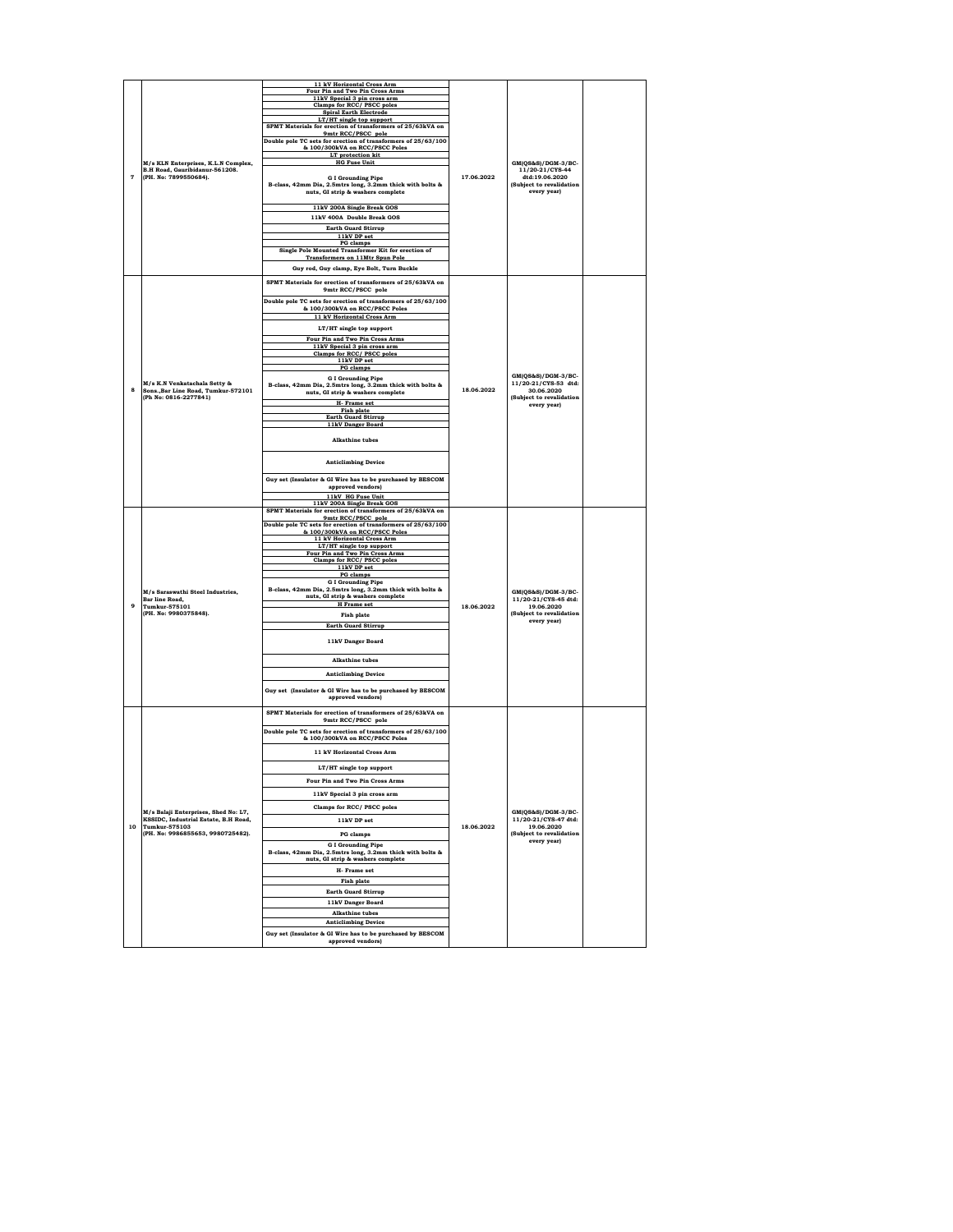|                |                                                    | 11 kV Horizontal Cross Arm                                                                      |            |                                            |  |
|----------------|----------------------------------------------------|-------------------------------------------------------------------------------------------------|------------|--------------------------------------------|--|
|                |                                                    | Four Pin and Two Pin Cross Arms<br>11kV Special 3 pin cross arm                                 |            |                                            |  |
|                |                                                    | Clamps for RCC/ PSCC poles                                                                      |            |                                            |  |
|                |                                                    | <b>Spiral Earth Electrode</b>                                                                   |            |                                            |  |
|                |                                                    | LT/HT single top support                                                                        |            |                                            |  |
|                |                                                    | SPMT Materials for erection of transformers of 25/63kVA on                                      |            |                                            |  |
|                |                                                    | 9mtr RCC/PSCC pole<br>Double pole TC sets for erection of transformers of 25/63/100             |            |                                            |  |
|                |                                                    | & 100/300kVA on RCC/PSCC Poles                                                                  |            |                                            |  |
|                |                                                    | LT protection kit                                                                               |            |                                            |  |
|                | M/s KLN Enterprises, K.L.N Complex,                | <b>HG Fuse Unit</b>                                                                             |            | GM(QS&S)/DGM-3/BC-                         |  |
|                | B.H Road, Gauribidanur-561208.                     |                                                                                                 |            | 11/20-21/CYS-44                            |  |
| $\overline{7}$ | (PH. No: 7899550684).                              | <b>GI Grounding Pipe</b>                                                                        | 17.06.2022 | dtd:19.06.2020                             |  |
|                |                                                    | B-class, 42mm Dia, 2.5mtrs long, 3.2mm thick with bolts &                                       |            | (Subject to revalidation                   |  |
|                |                                                    | nuts, GI strip & washers complete                                                               |            | every year)                                |  |
|                |                                                    | 11kV 200A Single Break GOS                                                                      |            |                                            |  |
|                |                                                    |                                                                                                 |            |                                            |  |
|                |                                                    | 11kV 400A Double Break GOS                                                                      |            |                                            |  |
|                |                                                    | <b>Earth Guard Stirrup</b>                                                                      |            |                                            |  |
|                |                                                    | 11kV DP set<br>PG clamps                                                                        |            |                                            |  |
|                |                                                    | Single Pole Mounted Transformer Kit for erection of                                             |            |                                            |  |
|                |                                                    | <b>Transformers on 11Mtr Spun Pole</b>                                                          |            |                                            |  |
|                |                                                    | Guy rod, Guy clamp, Eye Bolt, Turn Buckle                                                       |            |                                            |  |
|                |                                                    |                                                                                                 |            |                                            |  |
|                |                                                    | SPMT Materials for erection of transformers of 25/63kVA on<br>9mtr RCC/PSCC pole                |            |                                            |  |
|                |                                                    |                                                                                                 |            |                                            |  |
|                |                                                    | Double pole TC sets for erection of transformers of 25/63/100                                   |            |                                            |  |
|                |                                                    | & 100/300kVA on RCC/PSCC Poles                                                                  |            |                                            |  |
|                |                                                    | 11 kV Horizontal Cross Arm                                                                      |            |                                            |  |
|                |                                                    | LT/HT single top support                                                                        |            |                                            |  |
|                |                                                    | Four Pin and Two Pin Cross Arms                                                                 |            |                                            |  |
|                |                                                    | 11kV Special 3 pin cross arm                                                                    |            |                                            |  |
|                |                                                    | Clamps for RCC/ PSCC poles                                                                      |            |                                            |  |
|                |                                                    | 11kV DP set<br>PG clamps                                                                        |            |                                            |  |
|                |                                                    |                                                                                                 |            | GM(QS&S)/DGM-3/BC-                         |  |
|                | M/s K.N Venkatachala Setty &                       | <b>G I Grounding Pipe</b><br>B-class, 42mm Dia, 2.5mtrs long, 3.2mm thick with bolts &          |            | 11/20-21/CYS-53 dtd:                       |  |
| 8              | Sons., Bar Line Road, Tumkur-572101                | nuts, GI strip & washers complete                                                               | 18.06.2022 | 30.06.2020                                 |  |
|                | (Ph No: 0816-2277841)                              | H- Frame set                                                                                    |            | (Subject to revalidation                   |  |
|                |                                                    | Fish plate                                                                                      |            | every yearl                                |  |
|                |                                                    | <b>Earth Guard Stirrup</b>                                                                      |            |                                            |  |
|                |                                                    | 11kV Danger Board                                                                               |            |                                            |  |
|                |                                                    | <b>Alkathine tubes</b>                                                                          |            |                                            |  |
|                |                                                    |                                                                                                 |            |                                            |  |
|                |                                                    |                                                                                                 |            |                                            |  |
|                |                                                    | <b>Anticlimbing Device</b>                                                                      |            |                                            |  |
|                |                                                    |                                                                                                 |            |                                            |  |
|                |                                                    | Guy set (Insulator & GI Wire has to be purchased by BESCOM                                      |            |                                            |  |
|                |                                                    | approved vendors)                                                                               |            |                                            |  |
|                |                                                    | 11kV HG Fuse Unit                                                                               |            |                                            |  |
|                |                                                    | 11kV 200A Single Break GOS<br>SPMT Materials for erection of transformers of 25/63kVA on        |            |                                            |  |
|                |                                                    | 9mtr RCC/PSCC pole                                                                              |            |                                            |  |
|                |                                                    | Double pole TC sets for erection of transformers of 25/63/100                                   |            |                                            |  |
|                |                                                    | & 100/300kVA on RCC/PSCC Poles                                                                  |            |                                            |  |
|                |                                                    | 11 kV Horizontal Cross Arm<br>LT/HT single top support                                          |            |                                            |  |
|                |                                                    | Four Pin and Two Pin Cross Arms                                                                 |            |                                            |  |
|                |                                                    | Clamps for RCC/ PSCC poles                                                                      |            |                                            |  |
|                |                                                    | 11kV DP set                                                                                     |            |                                            |  |
|                |                                                    | PG clamps<br><b>G I Grounding Pipe</b>                                                          |            |                                            |  |
|                |                                                    | B-class, 42mm Dia, 2.5mtrs long, 3.2mm thick with bolts &                                       |            |                                            |  |
|                | M/s Saraswathi Steel Industries,<br>Bar line Road, | nuts, GI strip & washers complete                                                               |            | GM(QS&S)/DGM-3/BC-<br>11/20-21/CYS-45 dtd: |  |
| $\ddot{q}$     | Tumkur-575101                                      | <b>H</b> Frame set                                                                              | 18.06.2022 | 19.06.2020                                 |  |
|                | (PH. No: 9980375848).                              | <b>Fish plate</b>                                                                               |            | (Subject to revalidation<br>every year)    |  |
|                |                                                    | <b>Earth Guard Stirrup</b>                                                                      |            |                                            |  |
|                |                                                    |                                                                                                 |            |                                            |  |
|                |                                                    | 11kV Danger Board                                                                               |            |                                            |  |
|                |                                                    |                                                                                                 |            |                                            |  |
|                |                                                    | <b>Alkathine</b> tubes                                                                          |            |                                            |  |
|                |                                                    |                                                                                                 |            |                                            |  |
|                |                                                    | <b>Anticlimbing Device</b>                                                                      |            |                                            |  |
|                |                                                    | Guy set (Insulator & GI Wire has to be purchased by BESCOM                                      |            |                                            |  |
|                |                                                    | approved vendors)                                                                               |            |                                            |  |
|                |                                                    |                                                                                                 |            |                                            |  |
|                |                                                    | SPMT Materials for erection of transformers of 25/63kVA on<br>9mtr RCC/PSCC pole                |            |                                            |  |
|                |                                                    |                                                                                                 |            |                                            |  |
|                |                                                    | Double pole TC sets for erection of transformers of 25/63/100<br>& 100/300kVA on RCC/PSCC Poles |            |                                            |  |
|                |                                                    |                                                                                                 |            |                                            |  |
|                |                                                    | 11 kV Horizontal Cross Arm                                                                      |            |                                            |  |
|                |                                                    |                                                                                                 |            |                                            |  |
|                |                                                    | LT/HT single top support                                                                        |            |                                            |  |
|                |                                                    | Four Pin and Two Pin Cross Arms                                                                 |            |                                            |  |
|                |                                                    |                                                                                                 |            |                                            |  |
|                |                                                    | 11kV Special 3 pin cross arm                                                                    |            |                                            |  |
|                |                                                    |                                                                                                 |            |                                            |  |
|                |                                                    |                                                                                                 |            | GM(QS&S)/DGM-3/BC-<br>11/20-21/CYS-47 dtd: |  |
|                | M/s Balaji Enterprises, Shed No: L7,               | Clamps for RCC/ PSCC poles                                                                      |            |                                            |  |
| 10             | KSSIDC, Industrial Estate, B.H Road,               | 11kV DP set                                                                                     |            |                                            |  |
|                | Tumkur-575103<br>(PH. No: 9986855653, 9980725482). | <b>PG</b> clamps                                                                                | 18.06.2022 | 19.06.2020<br>(Subject to revalidation     |  |
|                |                                                    |                                                                                                 |            | every year)                                |  |
|                |                                                    | <b>GI Grounding Pipe</b>                                                                        |            |                                            |  |
|                |                                                    | B-class, 42mm Dia, 2.5mtrs long, 3.2mm thick with bolts &<br>nuts, GI strip & washers complete  |            |                                            |  |
|                |                                                    |                                                                                                 |            |                                            |  |
|                |                                                    | H- Frame set                                                                                    |            |                                            |  |
|                |                                                    | <b>Fish plate</b>                                                                               |            |                                            |  |
|                |                                                    | <b>Earth Guard Stirrup</b>                                                                      |            |                                            |  |
|                |                                                    | 11kV Danger Board                                                                               |            |                                            |  |
|                |                                                    | <b>Alkathine</b> tubes                                                                          |            |                                            |  |
|                |                                                    | <b>Anticlimbing Device</b>                                                                      |            |                                            |  |
|                |                                                    | Guy set (Insulator & GI Wire has to be purchased by BESCOM                                      |            |                                            |  |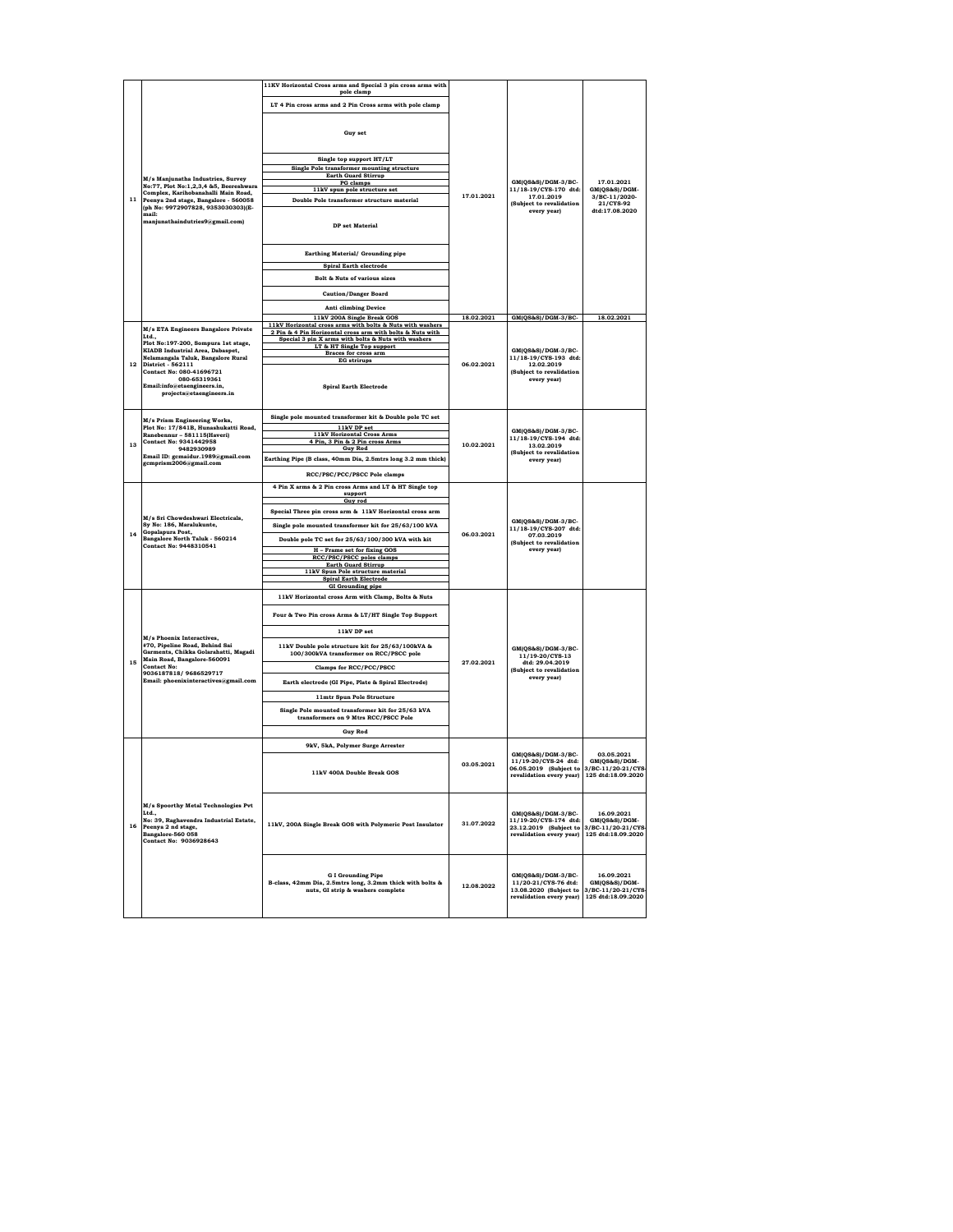|    |                                                                                                                                                             | 11KV Horizontal Cross arms and Special 3 pin cross arms with                                                               |            |                                                                                                                      |                                                                         |
|----|-------------------------------------------------------------------------------------------------------------------------------------------------------------|----------------------------------------------------------------------------------------------------------------------------|------------|----------------------------------------------------------------------------------------------------------------------|-------------------------------------------------------------------------|
|    |                                                                                                                                                             | pole clamp<br>LT 4 Pin cross arms and 2 Pin Cross arms with pole clamp                                                     |            |                                                                                                                      |                                                                         |
|    |                                                                                                                                                             |                                                                                                                            |            |                                                                                                                      |                                                                         |
|    |                                                                                                                                                             | <b>Guy set</b>                                                                                                             |            |                                                                                                                      |                                                                         |
|    |                                                                                                                                                             |                                                                                                                            |            |                                                                                                                      |                                                                         |
|    |                                                                                                                                                             | Single top support HT/LT                                                                                                   |            |                                                                                                                      |                                                                         |
|    |                                                                                                                                                             | Single Pole transformer mounting structure                                                                                 |            |                                                                                                                      |                                                                         |
|    | M/s Manjunatha Industries, Survey                                                                                                                           | <b>Earth Guard Stirrup</b><br>PG clamps                                                                                    |            | GM(QS&S)/DGM-3/BC-                                                                                                   | 17.01.2021                                                              |
|    | No:77, Plot No:1,2,3,4 &5, Beereshwara<br>Complex, Karihobanahalli Main Road,                                                                               | 11kV spun pole structure set                                                                                               | 17.01.2021 | 11/18-19/CYS-170 dtd:<br>17.01.2019                                                                                  | GM(QS&S)/DGM-<br>3/BC-11/2020-                                          |
| 11 | Peenya 2nd stage, Bangalore - 560058<br>(ph No: 9972907828, 9353030303)(E-                                                                                  | Double Pole transformer structure material                                                                                 |            | (Subject to revalidation                                                                                             | 21/CYS-92                                                               |
|    | mail:<br>manjunathaindutries9@gmail.com)                                                                                                                    | <b>DP</b> set Material                                                                                                     |            | every year)                                                                                                          | dtd:17.08.2020                                                          |
|    |                                                                                                                                                             | Earthing Material/ Grounding pipe                                                                                          |            |                                                                                                                      |                                                                         |
|    |                                                                                                                                                             | <b>Spiral Earth electrode</b>                                                                                              |            |                                                                                                                      |                                                                         |
|    |                                                                                                                                                             | Bolt & Nuts of various sizes                                                                                               |            |                                                                                                                      |                                                                         |
|    |                                                                                                                                                             | <b>Caution/Danger Board</b>                                                                                                |            |                                                                                                                      |                                                                         |
|    |                                                                                                                                                             | <b>Anti climbing Device</b>                                                                                                |            |                                                                                                                      |                                                                         |
|    |                                                                                                                                                             | 11kV 200A Single Break GOS                                                                                                 | 18.02.2021 | GM(QS&S)/DGM-3/BC-                                                                                                   | 18.02.2021                                                              |
|    | M/s ETA Engineers Bangalore Private                                                                                                                         | 11kV Horizontal cross arms with bolts & Nuts with washers                                                                  |            |                                                                                                                      |                                                                         |
|    | Ltd.,                                                                                                                                                       | 2 Pin & 4 Pin Horizontal cross arm with bolts & Nuts with<br>Special 3 pin X arms with bolts & Nuts with washers           |            |                                                                                                                      |                                                                         |
|    | Plot No:197-200, Sompura 1st stage,<br><b>KIADB</b> Industrial Area, Dabaspet,                                                                              | LT & HT Single Top support                                                                                                 |            | GM(QS&S)/DGM-3/BC-                                                                                                   |                                                                         |
| 12 | Nelamangala Taluk, Bangalore Rural<br>District - 562111                                                                                                     | Braces for cross arm<br><b>EG</b> strirups                                                                                 | 06.02.2021 | 11/18-19/CYS-193 dtd:<br>12.02.2019                                                                                  |                                                                         |
|    | Contact No: 080-41696721<br>080-65319361<br>Email:info@etaengineers.in.<br>projects@etaengineers.in                                                         | <b>Spiral Earth Electrode</b>                                                                                              |            | (Subject to revalidation<br>every year)                                                                              |                                                                         |
|    |                                                                                                                                                             | Single pole mounted transformer kit & Double pole TC set                                                                   |            |                                                                                                                      |                                                                         |
|    | M/s Prism Engineering Works,<br>Plot No: 17/841B, Hunashukatti Road,                                                                                        | 11kV DP set                                                                                                                |            |                                                                                                                      |                                                                         |
|    | Ranebennur - 581115(Haveri)<br><b>Contact No: 9341442958</b>                                                                                                | <b>11kV Horizontal Cross Arms</b>                                                                                          |            | GM(QS&S)/DGM-3/BC-<br>11/18-19/CYS-194 dtd:                                                                          |                                                                         |
| 13 | 9482930989                                                                                                                                                  | 4 Pin, 3 Pin & 2 Pin cross Arms<br><b>Guy Rod</b>                                                                          | 10.02.2021 | 13.02.2019<br>(Subject to revalidation                                                                               |                                                                         |
|    | Email ID: gcmaidur.1989@gmail.com<br>gcmprism2006@gmail.com                                                                                                 | Earthing Pipe (B class, 40mm Dia, 2.5mtrs long 3.2 mm thick)                                                               |            | every year)                                                                                                          |                                                                         |
|    |                                                                                                                                                             | RCC/PSC/PCC/PSCC Pole clamps                                                                                               |            |                                                                                                                      |                                                                         |
|    |                                                                                                                                                             | 4 Pin X arms & 2 Pin cross Arms and LT & HT Single top                                                                     |            |                                                                                                                      |                                                                         |
|    |                                                                                                                                                             | support<br>Guy rod                                                                                                         |            |                                                                                                                      |                                                                         |
|    |                                                                                                                                                             | Special Three pin cross arm & 11kV Horizontal cross arm                                                                    |            |                                                                                                                      |                                                                         |
|    | M/s Sri Chowdeshwari Electricals,<br>Sy No: 186, Maralukunte,                                                                                               |                                                                                                                            |            | GM(QS&S)/DGM-3/BC-                                                                                                   |                                                                         |
| 14 | Gopalapura Post,                                                                                                                                            | Single pole mounted transformer kit for 25/63/100 kVA                                                                      | 06.03.2021 | 11/18-19/CYS-207 dtd:<br>07.03.2019<br>(Subject to revalidation<br>every year)                                       |                                                                         |
|    | Bangalore North Taluk - 560214<br>Contact No: 9448310541                                                                                                    | Double pole TC set for 25/63/100/300 kVA with kit                                                                          |            |                                                                                                                      |                                                                         |
|    |                                                                                                                                                             | H - Frame set for fixing GOS<br>RCC/PSC/PSCC poles clamps                                                                  |            |                                                                                                                      |                                                                         |
|    |                                                                                                                                                             | <b>Earth Guard Stirrup</b>                                                                                                 |            |                                                                                                                      |                                                                         |
|    |                                                                                                                                                             | 11kV Spun Pole structure material<br><b>Spiral Earth Electrode</b>                                                         |            |                                                                                                                      |                                                                         |
|    |                                                                                                                                                             | <b>GI</b> Grounding pipe                                                                                                   |            |                                                                                                                      |                                                                         |
|    |                                                                                                                                                             | 11kV Horizontal cross Arm with Clamp, Bolts & Nuts                                                                         |            |                                                                                                                      |                                                                         |
|    |                                                                                                                                                             | Four & Two Pin cross Arms & LT/HT Single Top Support                                                                       |            |                                                                                                                      |                                                                         |
|    | M/s Phoenix Interactives.                                                                                                                                   | 11kV DP set                                                                                                                |            |                                                                                                                      |                                                                         |
|    | #70, Pipeline Road, Behind Sai<br>Garments, Chikka Golarahatti, Magadi<br>Main Road, Bangalore-560091                                                       | 11kV Double pole structure kit for 25/63/100kVA &<br>100/300kVA transformer on RCC/PSCC pole                               |            | GM(QS&S)/DGM-3/BC-<br>11/19-20/CYS-13                                                                                |                                                                         |
| 15 | <b>Contact No:</b>                                                                                                                                          | Clamps for RCC/PCC/PSCC                                                                                                    | 27.02.2021 | dtd: 29.04.2019<br>(Subject to revalidation                                                                          |                                                                         |
|    | 9036187818/9686529717<br>Email: phoenixinteractives@gmail.com                                                                                               | Earth electrode (GI Pipe, Plate & Spiral Electrode)                                                                        |            | every year)                                                                                                          |                                                                         |
|    |                                                                                                                                                             | 11mtr Spun Pole Structure                                                                                                  |            |                                                                                                                      |                                                                         |
|    |                                                                                                                                                             | Single Pole mounted transformer kit for 25/63 kVA                                                                          |            |                                                                                                                      |                                                                         |
|    |                                                                                                                                                             | transformers on 9 Mtrs RCC/PSCC Pole                                                                                       |            |                                                                                                                      |                                                                         |
|    |                                                                                                                                                             | <b>Guy Rod</b>                                                                                                             |            |                                                                                                                      |                                                                         |
|    |                                                                                                                                                             | 9kV, 5kA, Polymer Surge Arrester                                                                                           |            |                                                                                                                      |                                                                         |
|    |                                                                                                                                                             |                                                                                                                            |            | GM(QS&S)/DGM-3/BC-                                                                                                   | 03.05.2021                                                              |
|    |                                                                                                                                                             | 11kV 400A Double Break GOS                                                                                                 | 03.05.2021 | 11/19-20/CYS-24 dtd:<br>06.05.2019 (Subject to 3/BC-11/20-21/CYS-<br>revalidation every year)   125 dtd:18.09.2020   | GM(QS&S)/DGM-                                                           |
| 16 | M/s Spoorthy Metal Technologies Pvt<br>Ltd.,<br>No: 39, Raghavendra Industrial Estate,<br>Peenva 2 nd stage.<br>Bangalore-560 058<br>Contact No: 9036928643 | 11kV, 200A Single Break GOS with Polymeric Post Insulator                                                                  | 31.07.2022 | GM(QS&S)/DGM-3/BC-<br>11/19-20/CYS-174 dtd:<br>23.12.2019 (Subject to 3/BC-11/20-21/CYS-<br>revalidation every year) | 16.09.2021<br>GM(QS&S)/DGM-<br>125 dtd:18.09.2020                       |
|    |                                                                                                                                                             | <b>GI Grounding Pipe</b><br>B-class, 42mm Dia, 2.5mtrs long, 3.2mm thick with bolts &<br>nuts, GI strip & washers complete | 12.08.2022 | GM(QS&S)/DGM-3/BC-<br>11/20-21/CYS-76 dtd:<br>13.08.2020 (Subject to<br>revalidation every year)                     | 16.09.2021<br>GM(QS&S)/DGM-<br>3/BC-11/20-21/CYS-<br>125 dtd:18.09.2020 |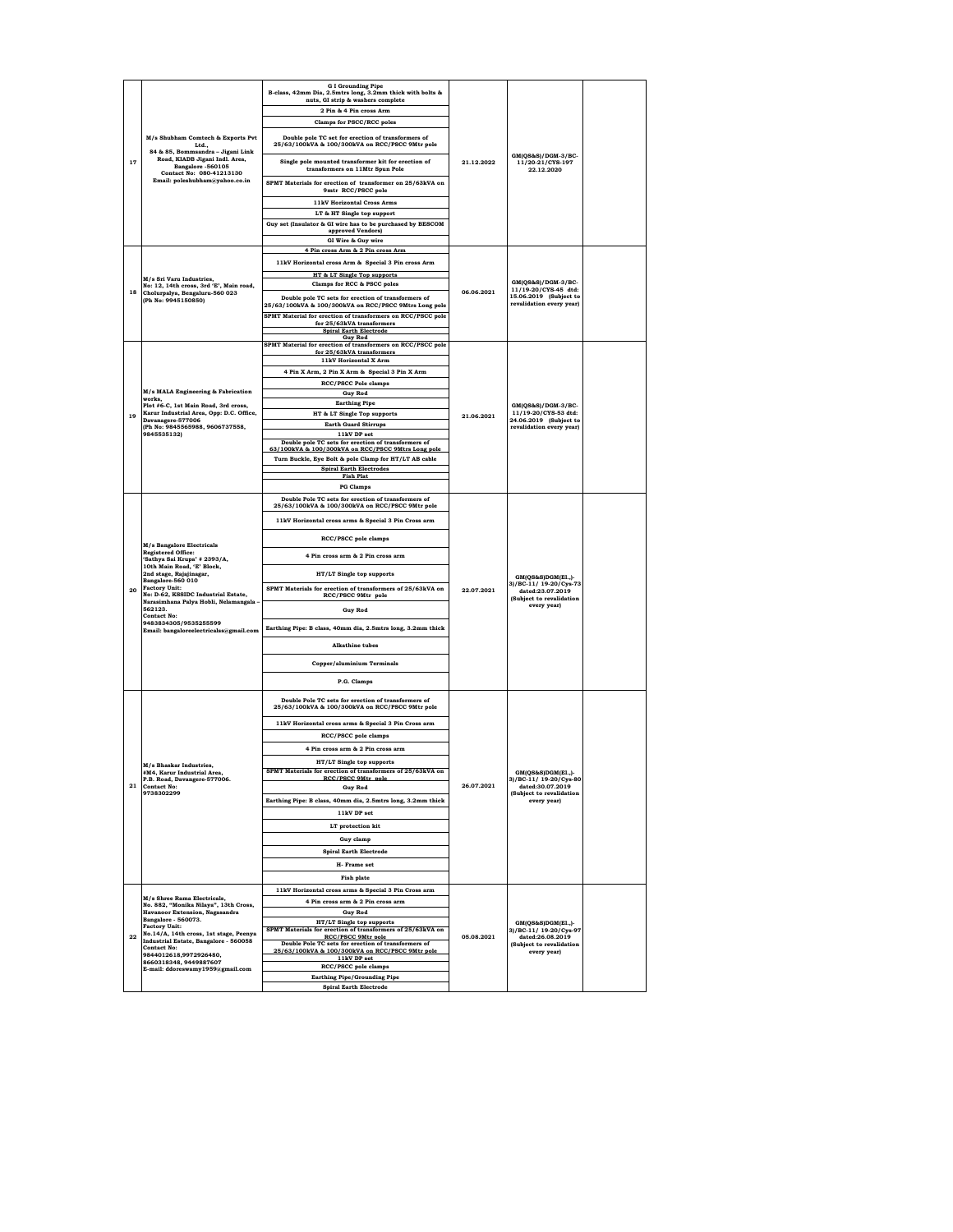|         |                                                                                        | <b>G I Grounding Pipe</b><br>B-class, 42mm Dia, 2.5mtrs long, 3.2mm thick with bolts &<br>nuts, GI strip & washers complete |            |                                                                            |  |
|---------|----------------------------------------------------------------------------------------|-----------------------------------------------------------------------------------------------------------------------------|------------|----------------------------------------------------------------------------|--|
|         |                                                                                        | 2 Pin & 4 Pin cross Arm                                                                                                     |            |                                                                            |  |
|         |                                                                                        | Clamps for PSCC/RCC poles                                                                                                   |            |                                                                            |  |
|         | M/s Shubham Comtech & Exports Pvt<br>Ltd.,<br>84 & 85, Bommsandra - Jigani Link        | Double pole TC set for erection of transformers of<br>25/63/100kVA & 100/300kVA on RCC/PSCC 9Mtr pole                       |            | GM(QS&S)/DGM-3/BC-                                                         |  |
| 17      | Road, KIADB Jigani Indl. Area,<br>Bangalore -560105<br>Contact No: 080-41213130        | Single pole mounted transformer kit for erection of<br>transformers on 11Mtr Spun Pole                                      | 21.12.2022 | 11/20-21/CYS-197<br>22.12.2020                                             |  |
|         | Email: poleshubham@yahoo.co.in                                                         | SPMT Materials for erection of transformer on 25/63kVA on<br>9mtr RCC/PSCC pole                                             |            |                                                                            |  |
|         |                                                                                        | <b>11kV Horizontal Cross Arms</b>                                                                                           |            |                                                                            |  |
|         |                                                                                        | LT & HT Single top support<br>Guy set (Insulator & GI wire has to be purchased by BESCOM                                    |            |                                                                            |  |
|         |                                                                                        | approved Vendors)                                                                                                           |            |                                                                            |  |
|         |                                                                                        | GI Wire & Guy wire                                                                                                          |            |                                                                            |  |
|         |                                                                                        | 4 Pin cross Arm & 2 Pin cross Arm<br>11kV Horizontal cross Arm & Special 3 Pin cross Arm                                    |            |                                                                            |  |
|         |                                                                                        | HT & LT Single Top supports                                                                                                 |            |                                                                            |  |
|         | M/s Sri Varu Industries.<br>No: 12, 14th cross, 3rd 'E', Main road,                    | Clamps for RCC & PSCC poles                                                                                                 |            | GM(QS&S)/DGM-3/BC-                                                         |  |
| 18      | Cholurpalya, Bengaluru-560 023<br>(Ph No: 9945150850)                                  | Double pole TC sets for erection of transformers of<br>25/63/100kVA & 100/300kVA on RCC/PSCC 9Mtrs Long pole                | 06.06.2021 | 11/19-20/CYS-45 dtd:<br>15.06.2019 (Subject to<br>revalidation every year) |  |
|         |                                                                                        | SPMT Material for erection of transformers on RCC/PSCC pole                                                                 |            |                                                                            |  |
|         |                                                                                        | for 25/63kVA transformers<br><b>Spiral Earth Electrode</b>                                                                  |            |                                                                            |  |
|         |                                                                                        | <b>Guy Rod</b><br>SPMT Material for erection of transformers on RCC/PSCC pole                                               |            |                                                                            |  |
|         |                                                                                        | for 25/63kVA transformers<br>11kV Horizontal X Arm                                                                          |            |                                                                            |  |
|         |                                                                                        | 4 Pin X Arm, 2 Pin X Arm & Special 3 Pin X Arm                                                                              |            |                                                                            |  |
|         | M/s MALA Engineering & Fabrication                                                     | <b>RCC/PSCC Pole clamps</b>                                                                                                 |            |                                                                            |  |
|         | works,                                                                                 | <b>Guy Rod</b><br><b>Earthing Pipe</b>                                                                                      |            |                                                                            |  |
| 19      | Plot #6-C, 1st Main Road, 3rd cross,<br>Karur Industrial Area, Opp: D.C. Office,       | HT & LT Single Top supports                                                                                                 | 21.06.2021 | GM(QS&S)/DGM-3/BC-<br>11/19-20/CYS-53 dtd:                                 |  |
|         | Davanagere-577006<br>(Ph No: 9845565988, 9606737558,                                   | <b>Earth Guard Stirrups</b>                                                                                                 |            | 24.06.2019 (Subject to<br>revalidation every year)                         |  |
|         | 9845535132)                                                                            | 11kV DP set<br>Double pole TC sets for erection of transformers of                                                          |            |                                                                            |  |
|         |                                                                                        | 63/100kVA & 100/300kVA on RCC/PSCC 9Mtrs Long pole                                                                          |            |                                                                            |  |
|         |                                                                                        | Turn Buckle, Eye Bolt & pole Clamp for HT/LT AB cable<br><b>Spiral Earth Electrodes</b>                                     |            |                                                                            |  |
|         |                                                                                        | <b>Fish Plat</b>                                                                                                            |            |                                                                            |  |
|         |                                                                                        | <b>PG Clamps</b>                                                                                                            |            |                                                                            |  |
|         | M/s Bangalore Electricals<br><b>Registered Office:</b>                                 | Double Pole TC sets for erection of transformers of<br>25/63/100kVA & 100/300kVA on RCC/PSCC 9Mtr pole                      |            |                                                                            |  |
|         |                                                                                        | 11kV Horizontal cross arms & Special 3 Pin Cross arm                                                                        |            |                                                                            |  |
|         |                                                                                        | RCC/PSCC pole clamps                                                                                                        |            |                                                                            |  |
|         |                                                                                        | 4 Pin cross arm & 2 Pin cross arm                                                                                           | 22.07.2021 |                                                                            |  |
|         | 'Sathya Sai Krupa' # 2393/A,<br>10th Main Road, 'E' Block,                             |                                                                                                                             |            |                                                                            |  |
|         | 2nd stage, Rajajinagar,<br>Bangalore-560 010<br><b>Factory Unit:</b>                   | HT/LT Single top supports                                                                                                   |            | GM(QS&S)DGM(El.,)-<br>3)/BC-11/ 19-20/Cys-73                               |  |
| 20      | No: D-62, KSSIDC Industrial Estate,<br>Narasimhana Palya Hobli, Nelamangala            | SPMT Materials for erection of transformers of 25/63kVA on<br>RCC/PSCC 9Mtr pole                                            |            | dated:23.07.2019<br>(Subject to revalidation<br>every year)                |  |
|         | 562123.<br><b>Contact No:</b>                                                          | <b>Guy Rod</b>                                                                                                              |            |                                                                            |  |
|         | 9483834305/9535255599<br>Email: bangaloreelectricalss@gmail.com                        | Earthing Pipe: B class, 40mm dia, 2.5mtrs long, 3.2mm thick                                                                 |            |                                                                            |  |
|         |                                                                                        | <b>Alkathine</b> tubes                                                                                                      |            |                                                                            |  |
|         |                                                                                        | Copper/aluminium Terminals                                                                                                  |            |                                                                            |  |
|         |                                                                                        | P.G. Clamps                                                                                                                 |            |                                                                            |  |
|         |                                                                                        | Double Pole TC sets for erection of transformers of<br>25/63/100kVA & 100/300kVA on RCC/PSCC 9Mtr pole                      |            |                                                                            |  |
|         |                                                                                        | 11kV Horizontal cross arms & Special 3 Pin Cross arm                                                                        |            |                                                                            |  |
|         |                                                                                        | RCC/PSCC pole clamps                                                                                                        |            |                                                                            |  |
|         |                                                                                        | 4 Pin cross arm & 2 Pin cross arm                                                                                           |            |                                                                            |  |
|         | M/s Bhaskar Industries,                                                                | HT/LT Single top supports                                                                                                   |            |                                                                            |  |
|         | #M4, Karur Industrial Area<br>P.B. Road, Davangere-577006.                             | SPMT Materials for erection of transformers of 25/63kVA on<br>RCC/PSCC 9Mtr_pole                                            |            | GM(QS&S)DGM(El.,)-<br>3)/BC-11/ 19-20/Cys-80                               |  |
| 21      | <b>Contact No:</b><br>9738302299                                                       | <b>Guv Rod</b>                                                                                                              | 26.07.2021 | dated:30.07.2019                                                           |  |
|         |                                                                                        | Earthing Pipe: B class, 40mm dia, 2.5mtrs long, 3.2mm thick                                                                 |            | (Subject to revalidation<br>every year)                                    |  |
|         |                                                                                        | 11kV DP set                                                                                                                 |            |                                                                            |  |
|         |                                                                                        | LT protection kit                                                                                                           |            |                                                                            |  |
|         |                                                                                        | Guy clamp                                                                                                                   |            |                                                                            |  |
|         |                                                                                        | <b>Spiral Earth Electrode</b>                                                                                               |            |                                                                            |  |
|         |                                                                                        | H-Frame set                                                                                                                 |            |                                                                            |  |
|         |                                                                                        | <b>Fish plate</b>                                                                                                           |            |                                                                            |  |
|         | M/s Shree Rama Electricals,                                                            | 11kV Horizontal cross arms & Special 3 Pin Cross arm<br>4 Pin cross arm & 2 Pin cross arm                                   |            |                                                                            |  |
|         | No. 882, "Monika Nilaya", 13th Cross,<br>Havanoor Extension, Nagasandra                | <b>Guy Rod</b>                                                                                                              |            |                                                                            |  |
|         | Bangalore - 560073.<br><b>Factory Unit:</b>                                            | HT/LT Single top supports                                                                                                   |            | GM(OS&S)DGM(EL.)-                                                          |  |
| $22 \,$ | No.14/A, 14th cross, 1st stage, Peenya<br><b>Industrial Estate, Bangalore - 560058</b> | SPMT Materials for erection of transformers of 25/63kVA on<br>RCC/PSCC 9Mtr pole                                            | 05.08.2021 | 3)/BC-11/ 19-20/Cys-97<br>dated:26.08.2019                                 |  |
|         | <b>Contact No:</b><br>9844012618,9972926480,                                           | Double Pole TC sets for erection of transformers of<br>25/63/100kVA & 100/300kVA on RCC/PSCC 9Mtr pole                      |            | (Subject to revalidation<br>every year)                                    |  |
|         | 8660318348, 9449887607<br>E-mail: ddoreswamy1959@gmail.com                             | 11kV DP set<br>RCC/PSCC pole clamps                                                                                         |            |                                                                            |  |
|         |                                                                                        | <b>Earthing Pipe/Grounding Pipe</b>                                                                                         |            |                                                                            |  |
|         |                                                                                        | <b>Spiral Earth Electrode</b>                                                                                               |            |                                                                            |  |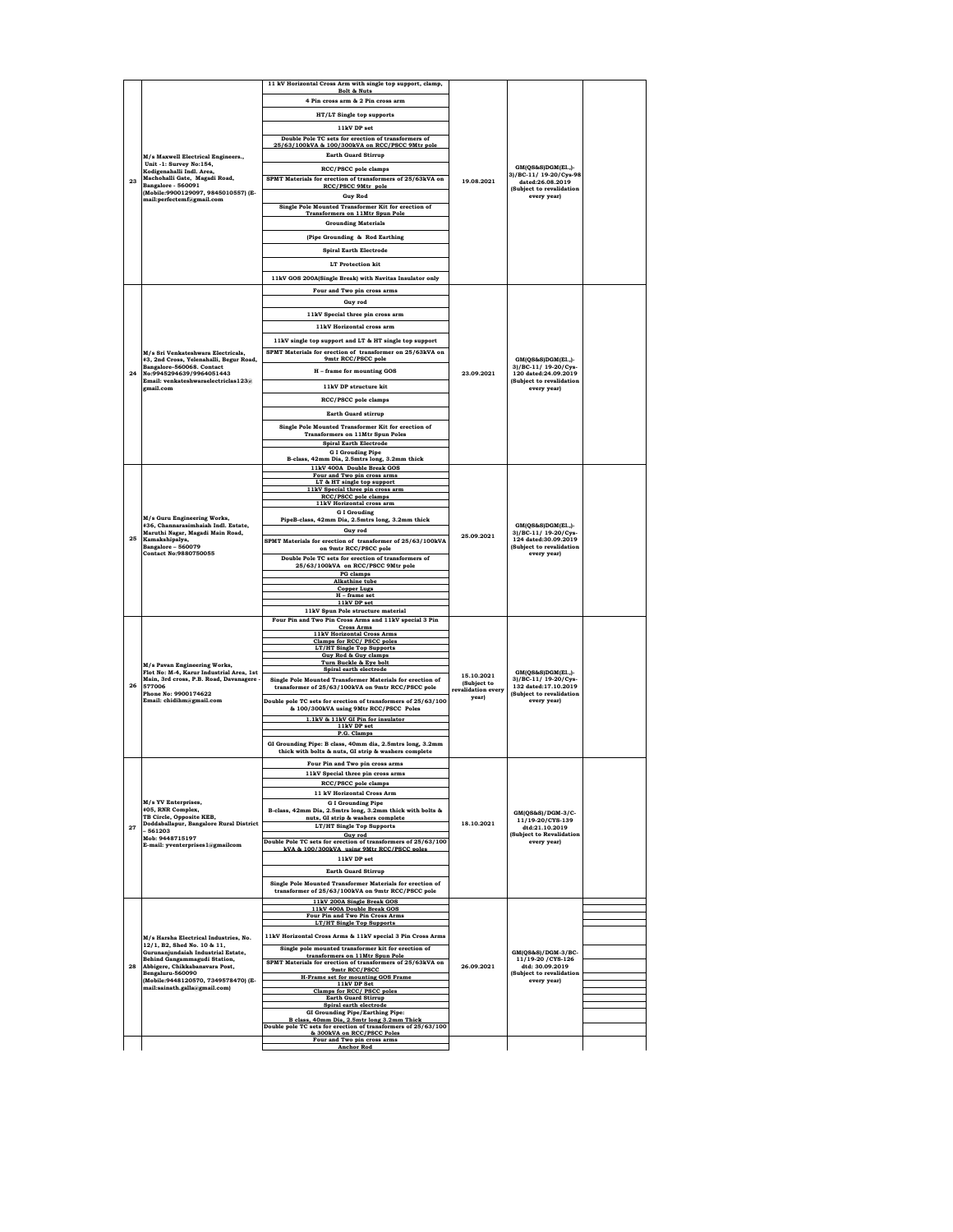|    |                                                                      | 11 kV Horizontal Cross Arm with single top support, clamp,                                                     |                                   |                                                                                                               |  |
|----|----------------------------------------------------------------------|----------------------------------------------------------------------------------------------------------------|-----------------------------------|---------------------------------------------------------------------------------------------------------------|--|
|    |                                                                      | <b>Bolt &amp; Nuts</b>                                                                                         |                                   |                                                                                                               |  |
|    | M/s Maxwell Electrical Engineers.,                                   | 4 Pin cross arm & 2 Pin cross arm                                                                              |                                   |                                                                                                               |  |
|    |                                                                      | HT/LT Single top supports                                                                                      |                                   |                                                                                                               |  |
|    |                                                                      | 11kV DP set                                                                                                    |                                   |                                                                                                               |  |
|    |                                                                      | Double Pole TC sets for erection of transformers of                                                            |                                   |                                                                                                               |  |
|    |                                                                      | 25/63/100kVA & 100/300kVA on RCC/PSCC 9Mtr pole<br><b>Earth Guard Stirrup</b>                                  |                                   |                                                                                                               |  |
|    | Unit -1: Survey No:154,                                              | <b>RCC/PSCC</b> pole clamps                                                                                    |                                   | GM(OS&S)DGM(EL.)-                                                                                             |  |
|    | Kodigenahalli Indl. Area,<br>Machohalli Gate, Magadi Road,           | SPMT Materials for erection of transformers of 25/63kVA on                                                     |                                   | 3)/BC-11/19-20/Cys-98                                                                                         |  |
| 23 | Bangalore - 560091                                                   | RCC/PSCC 9Mtr pole                                                                                             | 19.08.2021                        | dated:26.08.2019<br>(Subject to revalidation                                                                  |  |
|    | (Mobile:9900129097, 9845010557) (E-<br>mail:perfectemf@gmail.com     | <b>Guy Rod</b>                                                                                                 |                                   | every year)                                                                                                   |  |
|    |                                                                      | Single Pole Mounted Transformer Kit for erection of<br><b>Transformers on 11Mtr Spun Pole</b>                  |                                   |                                                                                                               |  |
|    |                                                                      | <b>Grounding Materials</b>                                                                                     |                                   |                                                                                                               |  |
|    |                                                                      | (Pipe Grounding & Rod Earthing                                                                                 |                                   |                                                                                                               |  |
|    |                                                                      |                                                                                                                |                                   |                                                                                                               |  |
|    |                                                                      | <b>Spiral Earth Electrode</b>                                                                                  |                                   |                                                                                                               |  |
|    |                                                                      | <b>LT</b> Protection kit                                                                                       |                                   |                                                                                                               |  |
|    |                                                                      | 11kV GOS 200A(Single Break) with Navitas Insulator only                                                        |                                   |                                                                                                               |  |
|    |                                                                      | Four and Two pin cross arms                                                                                    |                                   |                                                                                                               |  |
|    |                                                                      | Guy rod                                                                                                        |                                   |                                                                                                               |  |
|    |                                                                      | 11kV Special three pin cross arm                                                                               |                                   |                                                                                                               |  |
|    |                                                                      | 11kV Horizontal cross arm                                                                                      |                                   |                                                                                                               |  |
|    |                                                                      | 11kV single top support and LT & HT single top support                                                         |                                   |                                                                                                               |  |
|    | M/s Sri Venkateshwara Electricals,                                   | SPMT Materials for erection of transformer on 25/63kVA on                                                      |                                   |                                                                                                               |  |
|    | #3, 2nd Cross, Yelenahalli, Begur Road,                              | 9mtr RCC/PSCC pole                                                                                             |                                   | GM(QS&S)DGM(El.,)-                                                                                            |  |
| 24 | Bangalore-560068. Contact<br>No:9945294639/9964051443                | H - frame for mounting GOS                                                                                     | 23.09.2021                        | 3)/BC-11/ 19-20/Cys-<br>120 dated:24.09.2019                                                                  |  |
|    | Email: venkateshwaraelectriclas123@<br>gmail.com                     | 11kV DP structure kit                                                                                          |                                   | (Subject to revalidation<br>every year)                                                                       |  |
|    |                                                                      | <b>RCC/PSCC</b> pole clamps                                                                                    |                                   |                                                                                                               |  |
|    |                                                                      |                                                                                                                |                                   |                                                                                                               |  |
|    |                                                                      | <b>Earth Guard stirrup</b>                                                                                     |                                   |                                                                                                               |  |
|    |                                                                      | Single Pole Mounted Transformer Kit for erection of<br><b>Transformers on 11Mtr Spun Poles</b>                 |                                   |                                                                                                               |  |
|    |                                                                      | <b>Spiral Earth Electrode</b>                                                                                  |                                   |                                                                                                               |  |
|    |                                                                      | <b>G I Grouding Pipe</b>                                                                                       |                                   |                                                                                                               |  |
|    |                                                                      | B-class, 42mm Dia, 2.5mtrs long, 3.2mm thick<br>11kV 400A Double Break GOS                                     |                                   |                                                                                                               |  |
|    |                                                                      | Four and Two pin cross arms                                                                                    |                                   | GM(QS&S)DGM(El.,)-<br>3)/BC-11/ 19-20/Cys-<br>124 dated:30.09.2019<br>(Subject to revalidation<br>every year) |  |
|    |                                                                      | LT & HT single top support<br>11kV Special three pin cross arm                                                 |                                   |                                                                                                               |  |
|    |                                                                      | RCC/PSCC pole clamps<br>11kV Horizontal cross arm                                                              |                                   |                                                                                                               |  |
|    |                                                                      | <b>GI</b> Grouding                                                                                             |                                   |                                                                                                               |  |
|    | M/s Guru Engineering Works,<br>#36, Channarasimhaiah Indl. Estate,   | PipeB-class, 42mm Dia, 2.5mtrs long, 3.2mm thick                                                               |                                   |                                                                                                               |  |
| 25 | Maruthi Nagar, Magadi Main Road,                                     | Guy rod                                                                                                        | 25.09.2021                        |                                                                                                               |  |
|    | Kamakshipalya,<br>Bangalore - 560079<br><b>Contact No:9880750055</b> | SPMT Materials for erection of transformer of 25/63/100kVA<br>on 9mtr RCC/PSCC pole                            |                                   |                                                                                                               |  |
|    |                                                                      | Double Pole TC sets for erection of transformers of                                                            |                                   |                                                                                                               |  |
|    |                                                                      | 25/63/100kVA on RCC/PSCC 9Mtr pole                                                                             |                                   |                                                                                                               |  |
|    |                                                                      | PG clamps<br><b>Alkathine</b> tube                                                                             |                                   |                                                                                                               |  |
|    |                                                                      | <b>Copper Lugs</b><br>H - frame set                                                                            |                                   |                                                                                                               |  |
|    |                                                                      | 11kV DP set                                                                                                    |                                   |                                                                                                               |  |
|    |                                                                      | 11kV Spun Pole structure material<br>Four Pin and Two Pin Cross Arms and 11kV special 3 Pin                    |                                   |                                                                                                               |  |
|    |                                                                      | <b>Cross Arms</b>                                                                                              |                                   | GM(QS&S)DGM(El.,)-<br>3)/BC-11/ 19-20/Cys-<br>132 dated:17.10.2019<br>(Subject to revalidation<br>every year) |  |
|    |                                                                      | 11kV Horizontal Cross Arms<br>Clamps for RCC/ PSCC poles                                                       |                                   |                                                                                                               |  |
|    |                                                                      | <b>LT/HT Single Top Supports</b><br>Guy Rod & Guy clamps                                                       |                                   |                                                                                                               |  |
|    | M/s Pavan Engineering Works,                                         | Turn Buckle & Eye bolt                                                                                         |                                   |                                                                                                               |  |
|    | Flot No: M-4, Karur Industrial Area, 1st                             | Spiral earth electrode                                                                                         | 15.10.2021                        |                                                                                                               |  |
| 26 | Main, 3rd cross, P.B. Road, Davanagere<br>577006                     | Single Pole Mounted Transformer Materials for erection of<br>transformer of 25/63/100kVA on 9mtr RCC/PSCC pole | (Subject to<br>revalidation every |                                                                                                               |  |
|    | Phone No: 9900174622<br>Email: chidihm@gmail.com                     | Double pole TC sets for erection of transformers of 25/63/100                                                  | year)                             |                                                                                                               |  |
|    |                                                                      | & 100/300kVA using 9Mtr RCC/PSCC Poles                                                                         |                                   |                                                                                                               |  |
|    |                                                                      | 1.1kV & 11kV GI Pin for insulator                                                                              |                                   |                                                                                                               |  |
|    |                                                                      | 11kV DP set<br>P.G. Clamps                                                                                     |                                   |                                                                                                               |  |
|    |                                                                      | GI Grounding Pipe: B class, 40mm dia, 2.5mtrs long, 3.2mm                                                      |                                   |                                                                                                               |  |
|    |                                                                      | thick with bolts & nuts, GI strip & washers complete                                                           |                                   |                                                                                                               |  |
|    |                                                                      | Four Pin and Two pin cross arms                                                                                |                                   |                                                                                                               |  |
|    |                                                                      | 11kV Special three pin cross at<br>RCC/PSCC pole clamps                                                        |                                   |                                                                                                               |  |
|    |                                                                      | 11 kV Horizontal Cross Arm                                                                                     |                                   |                                                                                                               |  |
|    | M/s YV Enterprises,                                                  | <b>GI</b> Grounding Pipe                                                                                       |                                   |                                                                                                               |  |
|    | #05, RNR Complex,<br>TB Circle, Opposite KEB,                        | B-class, 42mm Dia, 2.5mtrs long, 3.2mm thick with bolts &<br>nuts, GI strip & washers complete                 |                                   | GM(QS&S)/DGM-3/C-                                                                                             |  |
| 27 | Doddaballapur, Bangalore Rural District<br>$-561203$                 | LT/HT Single Top Supports                                                                                      | 18.10.2021                        | 11/19-20/CYS-139<br>dtd:21.10.2019                                                                            |  |
|    | Mob: 9448715197                                                      | Guy rod<br>Double Pole TC sets for erection of transformers of 25/63/100                                       |                                   | (Subject to Revalidation<br>every year)                                                                       |  |
|    | E-mail: yventerprises1@gmailcom                                      | kVA & 100/300kVA using 9Mtr RCC/PSCC poles                                                                     |                                   |                                                                                                               |  |
|    |                                                                      | 11bV DP eet                                                                                                    |                                   |                                                                                                               |  |
|    |                                                                      | <b>Earth Guard Stirrup</b>                                                                                     |                                   |                                                                                                               |  |
|    |                                                                      | Single Pole Mounted Transformer Materials for erection of                                                      |                                   |                                                                                                               |  |
|    |                                                                      | transformer of 25/63/100kVA on 9mtr RCC/PSCC pole<br>11kV 200A Single Break GOS                                |                                   |                                                                                                               |  |
|    |                                                                      | 11kV 400A Double Break GOS                                                                                     |                                   |                                                                                                               |  |
|    |                                                                      | Four Pin and Two Pin Cross Arms<br><b>LT/HT Single Top Supports</b>                                            |                                   |                                                                                                               |  |
|    |                                                                      | 11kV Horizontal Cross Arms & 11kV special 3 Pin Cross Arms                                                     |                                   |                                                                                                               |  |
|    | M/s Harsha Electrical Industries, No.<br>12/1, B2, Shed No. 10 & 11, | Single pole mounted transformer kit for erection of                                                            |                                   |                                                                                                               |  |
|    | Gurunanjundaiah Industrial Estate,<br>Behind Gangammagudi Station,   | transformers on 11Mtr Spun Pole                                                                                |                                   | GM(QS&S)/DGM-3/BC-<br>11/19-20 / CYS-126                                                                      |  |
| 28 | Abbigere, Chikkabanavara Post,                                       | SPMT Materials for erection of transformers of 25/63kVA on<br>9mtr RCC/PSCC                                    | 26.09.2021                        | dtd: 30.09.2019                                                                                               |  |
|    | Bengaluru-560090<br>(Mobile:9448120570, 7349578470) (E-              | H-Frame set for mounting GOS Frame                                                                             |                                   | (Subject to revalidation<br>every year)                                                                       |  |
|    | mail:sainath.galla@gmail.com)                                        | 11kV DP Set<br>Clamps for RCC/ PSCC poles                                                                      |                                   |                                                                                                               |  |
|    |                                                                      | <b>Earth Guard Stirrup</b><br>Spiral earth electrode                                                           |                                   |                                                                                                               |  |
|    |                                                                      | <b>GI Grounding Pipe/Earthing Pipe:</b>                                                                        |                                   |                                                                                                               |  |
|    |                                                                      | B class, 40mm Dia, 2.5mtr long 3.2mm Thick<br>Double pole TC sets for erection of transformers of 25/63/100    |                                   |                                                                                                               |  |
|    |                                                                      |                                                                                                                |                                   |                                                                                                               |  |
|    |                                                                      | & 300kVA on RCC/PSCC Poles<br>Four and Two pin cross arms                                                      |                                   |                                                                                                               |  |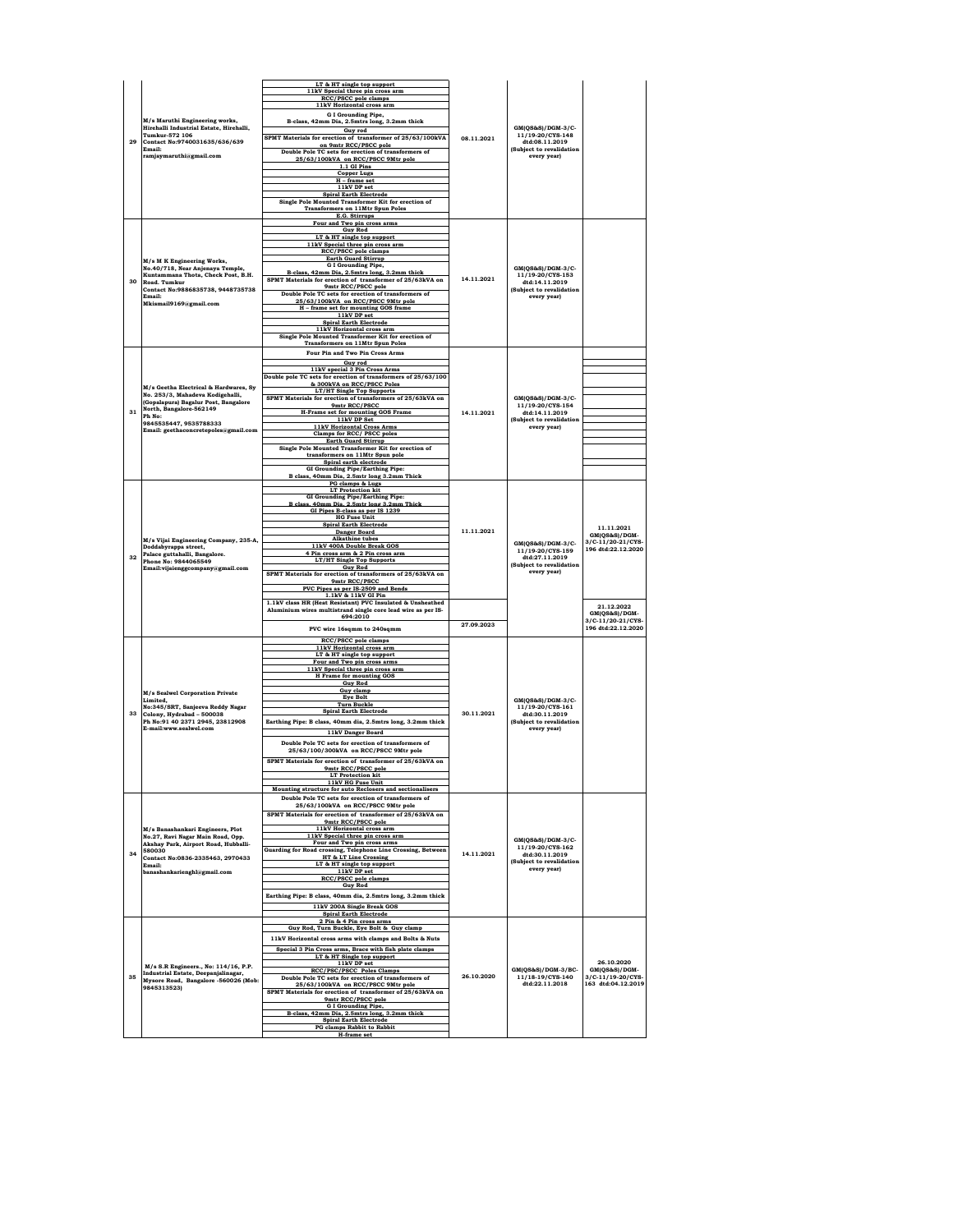|    |                                                                                                                                                            | LT & HT single top support                                                                  |            |                                                                                                    |                                         |
|----|------------------------------------------------------------------------------------------------------------------------------------------------------------|---------------------------------------------------------------------------------------------|------------|----------------------------------------------------------------------------------------------------|-----------------------------------------|
|    |                                                                                                                                                            | 11kV Special three pin cross arm                                                            |            |                                                                                                    |                                         |
|    |                                                                                                                                                            | RCC/PSCC pole clamps<br>11kV Horizontal cross arm                                           |            |                                                                                                    |                                         |
|    | M/s Maruthi Engineering works,                                                                                                                             | G I Grounding Pipe,<br>B-class, 42mm Dia, 2.5mtrs long, 3.2mm thick                         |            |                                                                                                    |                                         |
|    | Hirehalli Industrial Estate, Hirehalli,                                                                                                                    | Guy rod                                                                                     |            | GM(QS&S)/DGM-3/C-<br>11/19-20/CYS-148                                                              |                                         |
| 29 | Tumkur-572 106<br>Contact No:9740031635/636/639                                                                                                            | SPMT Materials for erection of transformer of 25/63/100kVA<br>on 9mtr RCC/PSCC pole         | 08.11.2021 | dtd:08.11.2019                                                                                     |                                         |
|    | Email:<br>ramjaymaruthi@gmail.com                                                                                                                          | Double Pole TC sets for erection of transformers of                                         |            | (Subject to revalidation<br>every year)                                                            |                                         |
|    |                                                                                                                                                            | 25/63/100kVA on RCC/PSCC 9Mtr pole<br>1.1 GI Pins                                           |            |                                                                                                    |                                         |
|    |                                                                                                                                                            | <b>Copper Lugs</b><br>H - frame set                                                         |            |                                                                                                    |                                         |
|    |                                                                                                                                                            | 11kV DP set                                                                                 |            |                                                                                                    |                                         |
|    |                                                                                                                                                            | <b>Spiral Earth Electrode</b><br>Single Pole Mounted Transformer Kit for erection of        |            |                                                                                                    |                                         |
|    |                                                                                                                                                            | <b>Transformers on 11Mtr Spun Poles</b><br>E.G. Stirrups                                    |            |                                                                                                    |                                         |
|    |                                                                                                                                                            | Four and Two pin cross arms                                                                 |            |                                                                                                    |                                         |
|    |                                                                                                                                                            | <b>Guy Rod</b><br>LT & HT single top support                                                |            |                                                                                                    |                                         |
|    |                                                                                                                                                            | 11kV Special three pin cross arm<br><b>RCC/PSCC</b> pole clamps                             |            |                                                                                                    |                                         |
|    | M/s M K Engineering Works,                                                                                                                                 | <b>Earth Guard Stirrup</b><br><b>G I Grounding Pipe,</b>                                    |            |                                                                                                    |                                         |
|    | No.40/718, Near Anjenaya Temple,<br>Kuntammana Thota, Check Post, B.H.                                                                                     | B-class, 42mm Dia, 2.5mtrs long, 3.2mm thick                                                |            | GM(QS&S)/DGM-3/C-<br>11/19-20/CYS-153                                                              |                                         |
| 30 | Road, Tumkur<br>Contact No:9886835738, 9448735738                                                                                                          | SPMT Materials for erection of transformer of 25/63kVA on<br>9mtr RCC/PSCC pole             | 14.11.2021 | dtd:14.11.2019<br>(Subject to revalidation                                                         |                                         |
|    | Email:                                                                                                                                                     | Double Pole TC sets for erection of transformers of<br>25/63/100kVA on RCC/PSCC 9Mtr pole   |            | every year)                                                                                        |                                         |
|    | Mkismail9169@gmail.com                                                                                                                                     | H - frame set for mounting GOS frame                                                        |            |                                                                                                    |                                         |
|    |                                                                                                                                                            | 11kV DP set<br><b>Spiral Earth Electrode</b>                                                |            |                                                                                                    |                                         |
|    |                                                                                                                                                            | 11kV Horizontal cross arm<br>Single Pole Mounted Transformer Kit for erection of            |            |                                                                                                    |                                         |
|    |                                                                                                                                                            | <b>Transformers on 11Mtr Spun Poles</b>                                                     |            |                                                                                                    |                                         |
|    |                                                                                                                                                            | Four Pin and Two Pin Cross Arms                                                             |            |                                                                                                    |                                         |
|    |                                                                                                                                                            | Guv rod<br>11kV special 3 Pin Cross Arms                                                    |            |                                                                                                    |                                         |
|    |                                                                                                                                                            | Double pole TC sets for erection of transformers of 25/63/100<br>& 300kVA on RCC/PSCC Poles |            |                                                                                                    |                                         |
|    | M/s Geetha Electrical & Hardwares, Sv<br>No. 253/3, Mahadeva Kodigehalli,                                                                                  | LT/HT Single Top Supports                                                                   |            |                                                                                                    |                                         |
|    | (Gopalapura) Bagalur Post, Bangalore<br>North, Bangalore-562149                                                                                            | SPMT Materials for erection of transformers of 25/63kVA on<br>9mtr RCC/PSCC                 |            | $GM(QS\&S)/DGM-3/C$ -<br>11/19-20/CYS-154                                                          |                                         |
| 31 | Ph No:                                                                                                                                                     | <b>H-Frame set for mounting GOS Frame</b><br>11kV DP Set                                    | 14.11.2021 | dtd:14.11.2019<br>(Subject to revalidation                                                         |                                         |
|    | 9845535447.9535788333<br>Email: geethaconcretepoles@gmail.com                                                                                              | <b>11kV Horizontal Cross Arms</b><br>Clamps for RCC/ PSCC poles                             |            | every yearl                                                                                        |                                         |
|    |                                                                                                                                                            | <b>Earth Guard Stirrup</b>                                                                  |            |                                                                                                    |                                         |
|    |                                                                                                                                                            | Single Pole Mounted Transformer Kit for erection of<br>transformers on 11Mtr Spun pole      |            |                                                                                                    |                                         |
|    |                                                                                                                                                            | Spiral earth electrode<br>GI Grounding Pipe/Earthing Pipe:                                  |            |                                                                                                    |                                         |
|    |                                                                                                                                                            | B class, 40mm Dia, 2.5mtr long 3.2mm Thick                                                  |            |                                                                                                    |                                         |
|    |                                                                                                                                                            | PG clamps & Lugs<br><b>LT Protection kit</b>                                                |            |                                                                                                    |                                         |
|    |                                                                                                                                                            | <b>GI Grounding Pipe/Earthing Pipe:</b><br>B class. 40mm Dia. 2.5mtr long 3.2mm Thick       |            | GM(QS&S)/DGM-3/C-<br>11/19-20/CYS-159<br>dtd:27.11.2019<br>(Subject to revalidation<br>every year) |                                         |
|    | M/s Vijai Engineering Company, 235-A,<br>Doddabyrappa street,<br>Palace guttahalli, Bangalore.<br>Phone No: 9844065549<br>Email:vijaienggcompany@gmail.com | GI Pipes B-class as per IS 1239<br><b>HG Fuse Unit</b>                                      |            |                                                                                                    |                                         |
|    |                                                                                                                                                            | <b>Spiral Earth Electrode</b>                                                               | 11.11.2021 |                                                                                                    | 11.11.2021                              |
|    |                                                                                                                                                            | <b>Danger Board</b><br><b>Alkathine</b> tubes                                               |            |                                                                                                    | GM(QS&S)/DGM-<br>3/C-11/20-21/CYS-      |
|    |                                                                                                                                                            | 11kV 400A Double Break GOS<br>4 Pin cross arm & 2 Pin cross arm                             |            |                                                                                                    | 196 dtd:22.12.2020                      |
| 32 |                                                                                                                                                            | <b>LT/HT Single Top Supports</b>                                                            |            |                                                                                                    |                                         |
|    |                                                                                                                                                            | <b>Guy Rod</b><br>SPMT Materials for erection of transformers of 25/63kVA on                |            |                                                                                                    |                                         |
|    |                                                                                                                                                            | 9mtr RCC/PSCC<br>PVC Pipes as per IS-2509 and Bends                                         |            |                                                                                                    |                                         |
|    |                                                                                                                                                            | 1.1kV & 11kV GI Pin<br>1.1kV class HR (Heat Resistant) PVC Insulated & Unsheathed           |            |                                                                                                    |                                         |
|    |                                                                                                                                                            | Aluminium wires multistrand single core lead wire as per IS-                                |            |                                                                                                    | 21.12.2022<br>GM(OS&S)/DGM-             |
|    |                                                                                                                                                            | 694:2010                                                                                    | 27.09.2023 |                                                                                                    | 3/C-11/20-21/CYS-<br>196 dtd:22.12.2020 |
|    |                                                                                                                                                            | PVC wire 16sqmm to 240sqmm<br>RCC/PSCC pole clamps                                          |            |                                                                                                    |                                         |
|    |                                                                                                                                                            | 11kV Horizontal cross arm                                                                   |            |                                                                                                    |                                         |
|    |                                                                                                                                                            |                                                                                             |            |                                                                                                    |                                         |
|    |                                                                                                                                                            | LT & HT single top support                                                                  |            |                                                                                                    |                                         |
|    |                                                                                                                                                            | Four and Two pin cross arms<br>11kV Special three pin cross arm                             |            |                                                                                                    |                                         |
|    |                                                                                                                                                            | H Frame for mounting GOS<br><b>Guv Rod</b>                                                  |            |                                                                                                    |                                         |
|    | <b>M/s Sealwel Corporation Private</b>                                                                                                                     | Guy clamp<br><b>Eye Bolt</b>                                                                |            |                                                                                                    |                                         |
|    | Limited.<br>No:345/SRT, Sanjeeva Reddy Nagar                                                                                                               | <b>Turn Buckle</b>                                                                          |            | GM(QS&S)/DGM-3/C-<br>11/19-20/CYS-161                                                              |                                         |
| 33 | Colony, Hydrabad - 500038<br>Ph No:91 40 2371 2945, 23812908                                                                                               | <b>Spiral Earth Electrode</b>                                                               | 30.11.2021 | dtd:30.11.2019<br>(Subject to revalidation                                                         |                                         |
|    | E-mail:www.sealwel.com                                                                                                                                     | Earthing Pipe: B class, 40mm dia, 2.5mtrs long, 3.2mm thick<br>11kV Danger Board            |            | every year)                                                                                        |                                         |
|    |                                                                                                                                                            | Double Pole TC sets for erection of transformers of                                         |            |                                                                                                    |                                         |
|    |                                                                                                                                                            | 25/63/100/300kVA on RCC/PSCC 9Mtr pole                                                      |            |                                                                                                    |                                         |
|    |                                                                                                                                                            | SPMT Materials for erection of transformer of 25/63kVA on<br>9mtr RCC/PSCC pole             |            |                                                                                                    |                                         |
|    |                                                                                                                                                            | <b>LT</b> Protection kit<br>11kV HG Fuse Unit                                               |            |                                                                                                    |                                         |
|    |                                                                                                                                                            | Mounting structure for auto Reclosers and sectionalisers                                    |            |                                                                                                    |                                         |
|    |                                                                                                                                                            | Double Pole TC sets for erection of transformers of<br>25/63/100kVA on RCC/PSCC 9Mtr pole   |            |                                                                                                    |                                         |
|    |                                                                                                                                                            | SPMT Materials for erection of transformer of 25/63kVA on                                   |            |                                                                                                    |                                         |
|    | M/s Banashankari Engineers, Plot                                                                                                                           | 9mtr RCC/PSCC pole<br>11kV Horizontal cross arm                                             |            |                                                                                                    |                                         |
|    | No.27, Ravi Nagar Main Road, Opp.<br>Akshay Park, Airport Road, Hubballi-                                                                                  | 11kV Special three pin cross arm<br>Four and Two pin cross arms                             |            | $GM(QS\&S)/DGM-3/C-$                                                                               |                                         |
| 34 | 580030                                                                                                                                                     | Guarding for Road crossing, Telephone Line Crossing, Between                                | 14.11.2021 | 11/19-20/CYS-162<br>dtd:30.11.2019                                                                 |                                         |
|    | Contact No:0836-2335463, 2970433<br>Email:                                                                                                                 | HT & LT Line Crossing<br>LT & HT single top support                                         |            | (Subject to revalidation                                                                           |                                         |
|    | banashankarienghl@gmail.com                                                                                                                                | 11kV DP set<br><b>RCC/PSCC</b> pole clamps                                                  |            | every year)                                                                                        |                                         |
|    |                                                                                                                                                            | <b>Guy Rod</b>                                                                              |            |                                                                                                    |                                         |
|    |                                                                                                                                                            | Earthing Pipe: B class, 40mm dia, 2.5mtrs long, 3.2mm thick                                 |            |                                                                                                    |                                         |
|    |                                                                                                                                                            | 11kV 200A Single Break GOS<br><b>Spiral Earth Electrode</b>                                 |            |                                                                                                    |                                         |
|    |                                                                                                                                                            | 2 Pin & 4 Pin cross arms<br>Guy Rod, Turn Buckle, Eye Bolt & Guy clamp                      |            |                                                                                                    |                                         |
|    |                                                                                                                                                            | 11kV Horizontal cross arms with clamps and Bolts & Nuts                                     |            |                                                                                                    |                                         |
|    |                                                                                                                                                            | Special 3 Pin Cross arms, Brace with fish plate clamps                                      |            |                                                                                                    |                                         |
|    | M/s S.R Engineers., No: 114/16, P.P.                                                                                                                       | LT & HT Single top support<br>11kV DP set                                                   |            |                                                                                                    | 26.10.2020                              |
| 35 | Industrial Estate, Deepanjalinagar,                                                                                                                        | <b>RCC/PSC/PSCC Poles Clamps</b><br>Double Pole TC sets for erection of transformers of     | 26.10.2020 | GM(QS&S)/DGM-3/BC-<br>11/18-19/CYS-140                                                             | GM(QS&S)/DGM-<br>3/C-11/19-20/CYS-      |
|    | Mysore Road, Bangalore -560026 (Mob:<br>9845313523)                                                                                                        | 25/63/100kVA on RCC/PSCC 9Mtr pole                                                          |            | dtd:22.11.2018                                                                                     | 163 dtd:04.12.2019                      |
|    |                                                                                                                                                            | SPMT Materials for erection of transformer of 25/63kVA on<br>9mtr RCC/PSCC pole             |            |                                                                                                    |                                         |
|    |                                                                                                                                                            | <b>G I Grounding Pipe.</b><br>B-class, 42mm Dia, 2.5mtrs long, 3.2mm thick                  |            |                                                                                                    |                                         |
|    |                                                                                                                                                            | <b>Spiral Earth Electrode</b><br><b>PG</b> clamps Rabbit to Rabbit                          |            |                                                                                                    |                                         |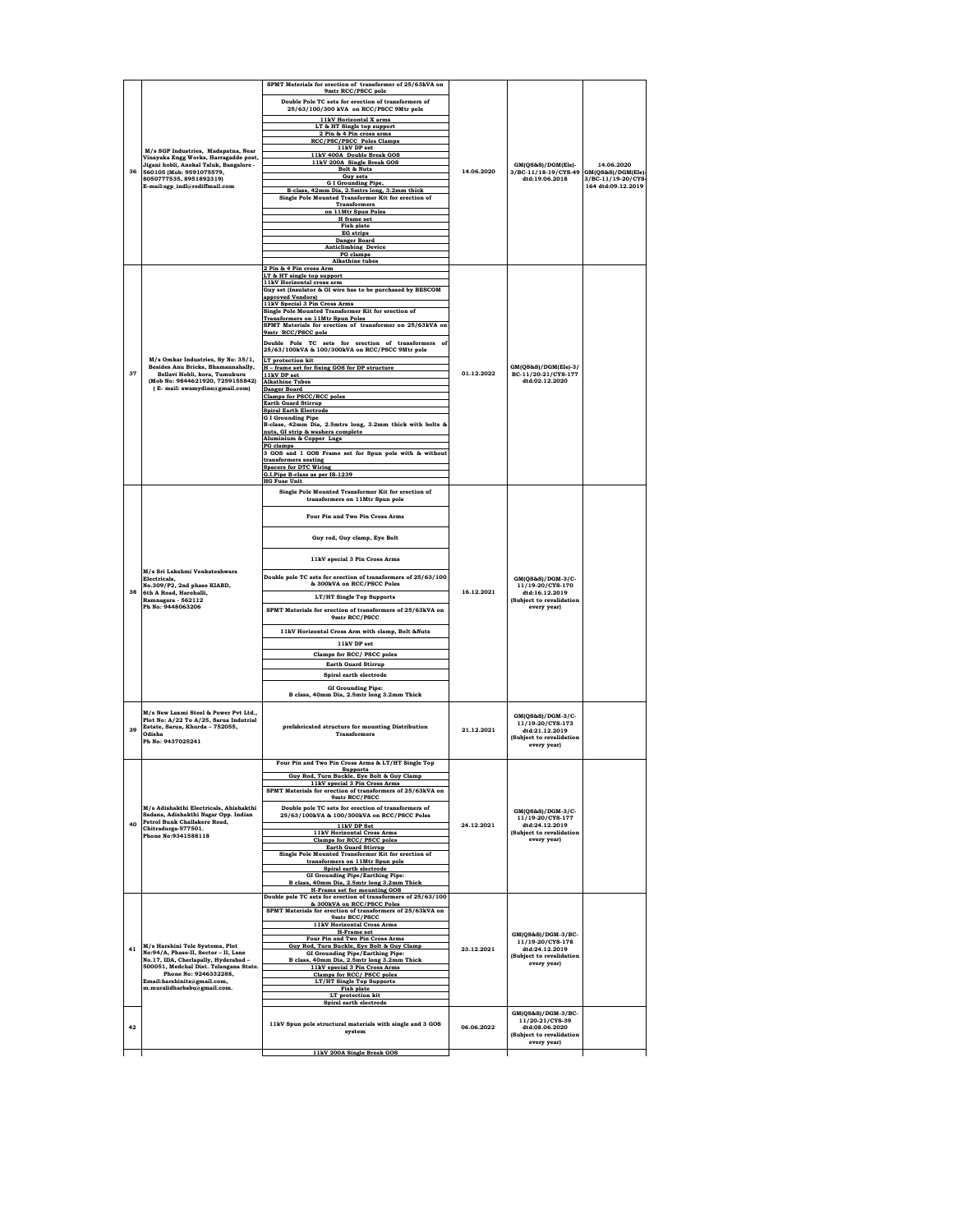|    |                                                                              | SPMT Materials for erection of transformer of 25/63kVA on<br>9mtr RCC/PSCC pole                              |            |                                                           |                                          |
|----|------------------------------------------------------------------------------|--------------------------------------------------------------------------------------------------------------|------------|-----------------------------------------------------------|------------------------------------------|
|    |                                                                              | Double Pole TC sets for erection of transformers of                                                          |            |                                                           |                                          |
|    |                                                                              | 25/63/100/300 kVA on RCC/PSCC 9Mtr pole<br>11kV Horizontal X arms                                            |            |                                                           |                                          |
|    |                                                                              | LT & HT Single top support                                                                                   |            |                                                           |                                          |
|    |                                                                              | 2 Pin & 4 Pin cross arms<br><b>RCC/PSC/PSCC Poles Clamps</b><br>11kV DP set                                  |            |                                                           |                                          |
|    | M/s SGP Industries, Madapatna, Near<br>Vinayaka Engg Works, Harragadde post, | 11kV 400A Double Break GOS                                                                                   |            |                                                           |                                          |
| 36 | Jigani hobli, Anekal Taluk, Bangalore -<br>560105 (Mob: 9591075579,          | 11kV 200A Single Break GOS<br><b>Bolt &amp; Nuts</b>                                                         | 14.06.2020 | GM(QS&S)/DGM(Ele)-<br>3/BC-11/18-19/CYS-49                | 14.06.2020<br>GM(QS&S)/DGM(Ele)-         |
|    | 8050777535, 8951892319)<br>E-mail:sgp_indl@rediffmail.com                    | <b>Guy sets</b><br><b>G I Grounding Pipe,</b>                                                                |            | dtd:19.06.2018                                            | 3/BC-11/19-20/CYS-<br>164 dtd:09.12.2019 |
|    |                                                                              | B-class, 42mm Dia, 2.5mtrs long, 3.2mm thick<br>Single Pole Mounted Transformer Kit for erection of          |            |                                                           |                                          |
|    |                                                                              | <b>Transformers</b><br>on 11Mtr Spun Poles                                                                   |            |                                                           |                                          |
|    |                                                                              | H frame set<br><b>Fish plate</b>                                                                             |            |                                                           |                                          |
|    |                                                                              | <b>EG</b> strips<br>Danger Board                                                                             |            |                                                           |                                          |
|    |                                                                              | <b>Anticlimbing Device</b><br>PG clamps                                                                      |            |                                                           |                                          |
|    |                                                                              | <b>Alkathine</b> tubes<br>2 Pin & 4 Pin cross Arm                                                            |            |                                                           |                                          |
|    |                                                                              | LT & HT single top support<br>11kV Horizontal cross arm                                                      |            |                                                           |                                          |
|    |                                                                              | Guy set (Insulator & GI wire has to be purchased by BESCOM<br>approved Vendors)                              |            |                                                           |                                          |
|    |                                                                              | 11kV Special 3 Pin Cross Arms<br>Single Pole Mounted Transformer Kit for erection of                         |            |                                                           |                                          |
|    |                                                                              | <b>Transformers on 11Mtr Spun Poles</b><br>SPMT Materials for erection of transformer on 25/63kVA on         |            |                                                           |                                          |
|    |                                                                              | 9mtr RCC/PSCC pole                                                                                           |            |                                                           |                                          |
|    |                                                                              | Double Pole TC sets for erection of transformers of<br>25/63/100kVA & 100/300kVA on RCC/PSCC 9Mtr pole       |            |                                                           |                                          |
|    | M/s Omkar Industries, Sy No: 35/1,<br>Besides Anu Bricks, Bhamannahally,     | LT protection kit                                                                                            |            | GM(QS&S)/DGM(Ele)-3/                                      |                                          |
| 37 | Bellavi Hobli, kora, Tumukuru<br>(Mob No: 9844621920, 7259155842)            | H - frame set for fixing GOS for DP structure<br>11kV DP set                                                 | 01.12.2022 | BC-11/20-21/CYS-177<br>dtd:02.12.2020                     |                                          |
|    | (E- mail: swamydine@gmail.com)                                               | <b>Alkathine Tubes</b><br><b>Danger Board</b>                                                                |            |                                                           |                                          |
|    |                                                                              | <b>Clamps for PSCC/RCC poles</b><br><b>Earth Guard Stirrup</b>                                               |            |                                                           |                                          |
|    |                                                                              | <b>Spiral Earth Electrode</b><br><b>G I Grounding Pipe</b>                                                   |            |                                                           |                                          |
|    |                                                                              | B-class, 42mm Dia, 2.5mtrs long, 3.2mm thick with bolts &<br>nuts, GI strip & washers complete               |            |                                                           |                                          |
|    |                                                                              | Aluminium & Copper Lugs<br>PG clamps                                                                         |            |                                                           |                                          |
|    |                                                                              | 3 GOS and 1 GOS Frame set for Spun pole with & without<br>transformers seating                               |            |                                                           |                                          |
|    |                                                                              | <b>Spacers for DTC Wiring</b><br>G.I.Pipe B-class as per IS-1239                                             |            |                                                           |                                          |
|    |                                                                              | <b>HG Fuse Unit</b>                                                                                          |            |                                                           |                                          |
|    |                                                                              | Single Pole Mounted Transformer Kit for erection of<br>transformers on 11Mtr Spun pole                       |            |                                                           |                                          |
|    |                                                                              | Four Pin and Two Pin Cross Arms                                                                              |            |                                                           |                                          |
|    | M/s Sri Lakshmi Venkateshwara<br>Electricals,<br>No.309/P2, 2nd phase KIABD, |                                                                                                              |            |                                                           |                                          |
|    |                                                                              | Guy rod, Guy clamp, Eye Bolt                                                                                 |            |                                                           |                                          |
|    |                                                                              | 11kV special 3 Pin Cross Arms                                                                                |            |                                                           |                                          |
|    |                                                                              |                                                                                                              |            |                                                           |                                          |
|    |                                                                              | Double pole TC sets for erection of transformers of 25/63/100<br>& 300kVA on RCC/PSCC Poles                  | 16.12.2021 | GM(QS&S)/DGM-3/C-<br>11/19-20/CYS-170                     |                                          |
| 38 | 6th A Road, Harohalli,<br>Ramnagara - 562112                                 | LT/HT Single Top Supports                                                                                    |            | dtd:16.12.2019<br>(Subject to revalidation<br>every year) |                                          |
|    | Ph No: 9448063206                                                            | SPMT Materials for erection of transformers of 25/63kVA on                                                   |            |                                                           |                                          |
|    |                                                                              | 9mtr RCC/PSCC                                                                                                |            |                                                           |                                          |
|    |                                                                              | 11kV Horizontal Cross Arm with clamp, Bolt &Nuts<br>11kV DP set                                              |            |                                                           |                                          |
|    |                                                                              | Clamps for RCC/ PSCC poles                                                                                   |            |                                                           |                                          |
|    |                                                                              | <b>Earth Guard Stirrup</b>                                                                                   |            |                                                           |                                          |
|    |                                                                              | Spiral earth electrode                                                                                       |            |                                                           |                                          |
|    |                                                                              | <b>GI Grounding Pipe:</b><br>B class, 40mm Dia, 2.5mtr long 3.2mm Thick                                      |            |                                                           |                                          |
|    | M/s New Laxmi Steel & Power Pvt Ltd.,                                        |                                                                                                              |            |                                                           |                                          |
|    | Plot No: A/22 To A/25, Sarua Indutrial<br>Estate, Sarua, Khurda - 752055,    | prefabricated structure for mounting Distribution                                                            |            | GM(QS&S)/DGM-3/C-<br>11/19-20/CYS-173                     |                                          |
| 39 | Odisha<br>Ph No: 9437025241                                                  | <b>Transformers</b>                                                                                          | 21.12.2021 | 4td-21 12 2019<br>(Subject to revalidation                |                                          |
|    |                                                                              |                                                                                                              |            | every year)                                               |                                          |
|    |                                                                              | Four Pin and Two Pin Cross Arms & LT/HT Single Top<br><b>Supports</b>                                        |            |                                                           |                                          |
|    |                                                                              | Guv Rod. Turn Buckle. Eve Bolt & Guv Clamp                                                                   |            |                                                           |                                          |
|    |                                                                              | 11kV special 3 Pin Cross Arms<br>SPMT Materials for erection of transformers of 25/63kVA on<br>9mtr RCC/PSCC |            |                                                           |                                          |
|    | M/s Adishakthi Electricals, Ahishakthi                                       | Double pole TC sets for erection of transformers of                                                          |            | $GM(QS\&S)/DGM-3/C$ -                                     |                                          |
| 40 | Sadana, Adishakthi Nagar Opp. Indian<br>Petrol Bunk Challakere Road,         | 25/63/100kVA & 100/300kVA on RCC/PSCC Poles                                                                  | 24.12.2021 | 11/19-20/CYS-177<br>dtd:24.12.2019                        |                                          |
|    | Chitradurga-577501.<br>Phone No:9341588118                                   | 11kV DP Set<br><b>11kV Horizontal Cross Arms</b>                                                             |            | (Subject to revalidation<br>every year)                   |                                          |
|    |                                                                              | Clamps for RCC/ PSCC poles<br><b>Earth Guard Stirrup</b>                                                     |            |                                                           |                                          |
|    |                                                                              | Single Pole Mounted Transformer Kit for erection of<br>transformers on 11Mtr Spun pole                       |            |                                                           |                                          |
|    |                                                                              | Spiral earth electrode<br>GI Grounding Pipe/Earthing Pipe:                                                   |            |                                                           |                                          |
|    |                                                                              | B class, 40mm Dia, 2.5mtr long 3.2mm Thick<br>H-Frame set for mounting GOS                                   |            |                                                           |                                          |
|    |                                                                              | Double pole TC sets for erection of transformers of 25/63/100<br>& 300kVA on RCC/PSCC Poles                  |            |                                                           |                                          |
|    |                                                                              | SPMT Materials for erection of transformers of 25/63kVA on<br>9mtr RCC/PSCC                                  |            |                                                           |                                          |
|    |                                                                              | 11kV Horizontal Cross Arms<br>H-Frame set                                                                    |            | GM(QS&S)/DGM-3/BC-                                        |                                          |
| 41 | M/s Harshini Tele Systems, Plot                                              | Four Pin and Two Pin Cross Arms<br>Guv Rod. Turn Buckle. Eve Bolt & Guv Clamp                                | 23.12.2021 | 11/19-20/CYS-178<br>dtd:24.12.2019                        |                                          |
|    | No:94/A, Phase-II, Sector - II, Lane<br>No.17, IDA, Cherlapally, Hyderabad-  | <b>GI Grounding Pipe/Earthing Pipe:</b><br>B class, 40mm Dia, 2.5mtr long 3.2mm Thick                        |            | (Subject to revalidation<br>every year)                   |                                          |
|    | 500051, Medchal Dist. Telangana State.<br>Phone No: 9246332288,              | 11kV special 3 Pin Cross Arms<br>Clamps for RCC/ PSCC poles                                                  |            |                                                           |                                          |
|    | Email:harshinits@gmail.com,<br>m.muralidharbabu@gmail.com.                   | LT/HT Single Top Supports<br>Fish plate                                                                      |            |                                                           |                                          |
|    |                                                                              | LT protection kit<br>Spiral earth electrode                                                                  |            |                                                           |                                          |
|    |                                                                              |                                                                                                              |            |                                                           |                                          |
|    |                                                                              |                                                                                                              |            | GM(QS&S)/DGM-3/BC-                                        |                                          |
| 42 |                                                                              | 11kV Spun pole structural materials with single and 3 GOS<br>system                                          | 06.06.2022 | 11/20-21/CYS-39<br>dtd:08.06.2020                         |                                          |
|    |                                                                              | 11kV 200A Single Break GOS                                                                                   |            | (Subject to revalidation<br>every year)                   |                                          |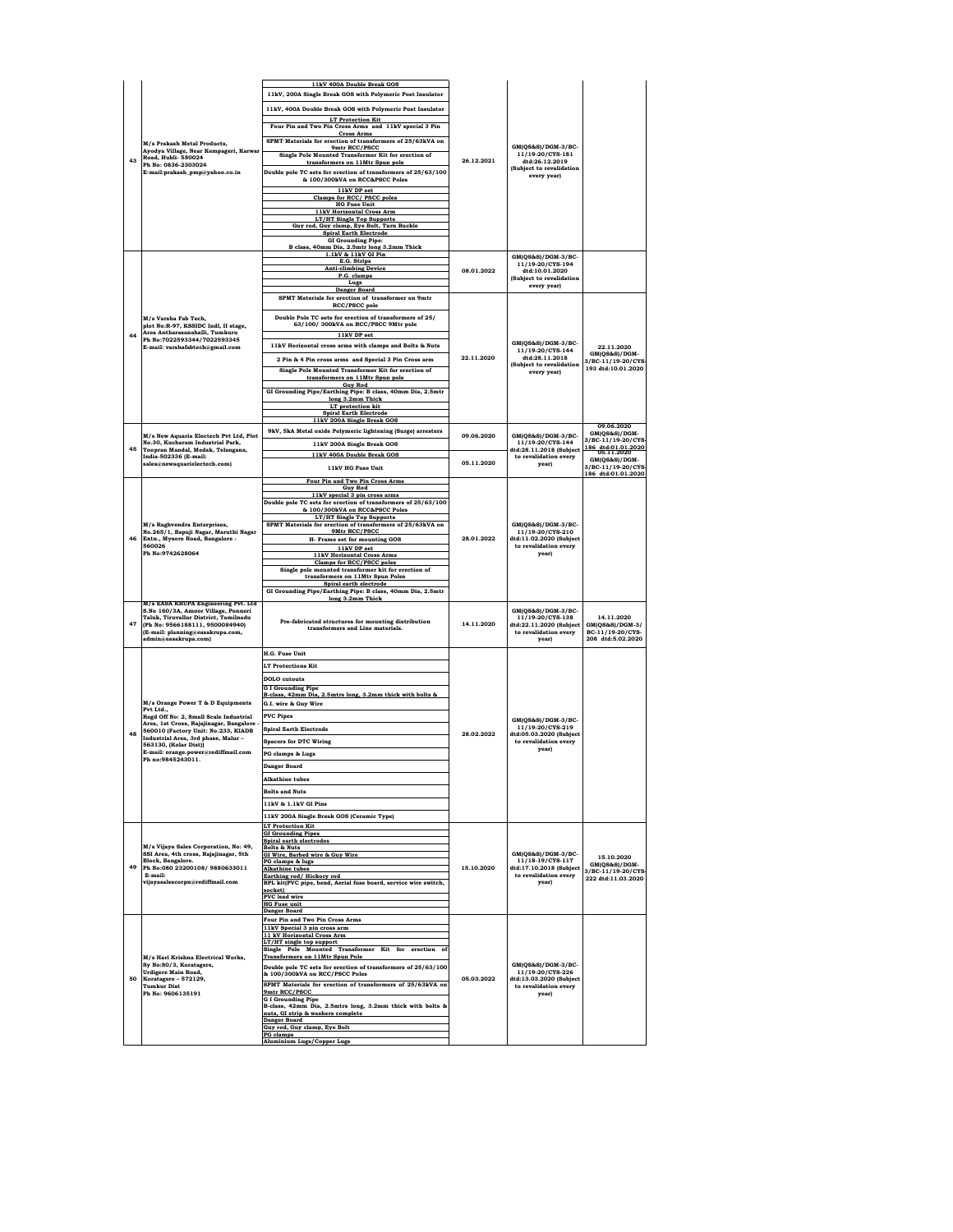|    |                                                                                                                                       | 11kV 400A Double Break GOS<br>11kV, 200A Single Break GOS with Polymeric Post Insulator         |            |                                                                                                     |                                         |
|----|---------------------------------------------------------------------------------------------------------------------------------------|-------------------------------------------------------------------------------------------------|------------|-----------------------------------------------------------------------------------------------------|-----------------------------------------|
|    |                                                                                                                                       |                                                                                                 |            |                                                                                                     |                                         |
|    |                                                                                                                                       | 11kV, 400A Double Break GOS with Polymeric Post Insulator                                       |            |                                                                                                     |                                         |
|    |                                                                                                                                       | <b>LT Protection Kit</b><br>Four Pin and Two Pin Cross Arms and 11kV special 3 Pin              |            |                                                                                                     |                                         |
|    |                                                                                                                                       | <b>Cross Arms</b><br>SPMT Materials for erection of transformers of 25/63kVA on                 |            |                                                                                                     |                                         |
|    | M/s Prakash Metal Products.<br>Ayodya Village, Near Kempageri, Karwar<br>Road, Hubli- 580024                                          | 9mtr RCC/PSCC                                                                                   |            | GM(QS&S)/DGM-3/BC-<br>11/19-20/CYS-181                                                              |                                         |
| 43 | Ph No: 0836-2303024<br>E-mail:prakash_pmp@yahoo.co.in                                                                                 | Single Pole Mounted Transformer Kit for erection of<br>transformers on 11Mtr Spun pole          | 26.12.2021 | dtd:26.12.2019                                                                                      |                                         |
|    |                                                                                                                                       | Double pole TC sets for erection of transformers of 25/63/100                                   |            | (Subject to revalidation<br>every year)                                                             |                                         |
|    |                                                                                                                                       | & 100/300kVA on RCC&PSCC Poles                                                                  |            |                                                                                                     |                                         |
|    |                                                                                                                                       | 11kV DP set<br>Clamps for RCC/ PSCC poles                                                       |            |                                                                                                     |                                         |
|    |                                                                                                                                       | <b>HG Fuse Unit</b>                                                                             |            |                                                                                                     |                                         |
|    |                                                                                                                                       | 11kV Horizontal Cross Arm<br><b>LT/HT Single Top Supports</b>                                   |            |                                                                                                     |                                         |
|    |                                                                                                                                       | Guy rod, Guy clamp, Eye Bolt, Turn Buckle<br><b>Spiral Earth Electrode</b>                      |            |                                                                                                     |                                         |
|    |                                                                                                                                       | <b>GI Grounding Pipe:</b>                                                                       |            |                                                                                                     |                                         |
|    |                                                                                                                                       | B class. 40mm Dia. 2.5mtr long 3.2mm Thick<br>1.1kV & 11kV GI Pin                               |            | GM(QS&S)/DGM-3/BC-                                                                                  |                                         |
|    |                                                                                                                                       | E.G. Strips<br><b>Anti-climbing Device</b>                                                      |            | 11/19-20/CYS-194                                                                                    |                                         |
|    |                                                                                                                                       | P.G. clamps<br>Lugs                                                                             | 08.01.2022 | dtd:10.01.2020<br>(Subject to revalidation                                                          |                                         |
|    |                                                                                                                                       | <b>Danger Board</b>                                                                             |            | every year)                                                                                         |                                         |
|    |                                                                                                                                       | SPMT Materials for erection of transformer on 9mtr<br>RCC/PSCC pole                             |            |                                                                                                     |                                         |
|    |                                                                                                                                       | Double Pole TC sets for erection of transformers of 25/                                         |            |                                                                                                     |                                         |
|    | M/s Varsha Fab Tech.<br>plot No:R-97, KSSIDC Indl, II stage,                                                                          | 63/100/300kVA on RCC/PSCC 9Mtr pole                                                             |            |                                                                                                     |                                         |
| 44 | Area Antharasanahalli, Tumkuru<br>Ph No:7022593344/7022593345                                                                         | 11kV DP set                                                                                     |            |                                                                                                     |                                         |
|    | E-mail: varshafabtech@gmail.com                                                                                                       | 11kV Horizontal cross arms with clamps and Bolts & Nuts                                         |            | GM(QS&S)/DGM-3/BC-<br>11/19-20/CYS-144                                                              | 22.11.2020                              |
|    |                                                                                                                                       | 2 Pin & 4 Pin cross arms and Special 3 Pin Cross arm                                            | 22.11.2020 | dtd:28.11.2018                                                                                      | GM(QS&S)/DGM-<br>3/BC-11/19-20/CYS      |
|    |                                                                                                                                       | Single Pole Mounted Transformer Kit for erection of                                             |            | (Subject to revalidation<br>every year)                                                             | 193 dtd:10.01.2020                      |
|    |                                                                                                                                       | transformers on 11Mtr Spun pole<br><b>Guy Rod</b>                                               |            |                                                                                                     |                                         |
|    |                                                                                                                                       | GI Grounding Pipe/Earthing Pipe: B class, 40mm Dia, 2.5mtr                                      |            |                                                                                                     |                                         |
|    |                                                                                                                                       | long 3.2mm Thick<br>LT protection kit                                                           |            |                                                                                                     |                                         |
|    |                                                                                                                                       | <b>Spiral Earth Electrode</b><br>11kV 200A Single Break GOS                                     |            |                                                                                                     |                                         |
|    |                                                                                                                                       | 9kV, 5kA Metal oxide Polymeric lightening (Surge) arresters                                     |            |                                                                                                     | 09.06.2020<br>GM(QS&S)/DGM-             |
|    | M/s New Aquaria Electech Pvt Ltd. Plot<br>No.30, Kucharam Industrial Park,                                                            | 11kV 200A Single Break GOS                                                                      | 09.06.2020 | GM(QS&S)/DGM-3/BC-<br>11/19-20/CYS-144                                                              | 3/BC-11/19-20/CYS                       |
| 45 | Toopran Mandal, Medak, Telangana,<br>India-502336 (E-mail:                                                                            | 11kV 400A Double Break GOS                                                                      |            | dtd:28.11.2018 (Subject<br>to revalidation every                                                    | 186 dtd:01.01.2020<br>05.11.2020        |
|    | sales@newaquarielectech.com)                                                                                                          | 11kV HG Fuse Unit                                                                               | 05.11.2020 | year)                                                                                               | GM(QS&S)/DGM-<br>3/BC-11/19-20/CYS      |
|    |                                                                                                                                       | Four Pin and Two Pin Cross Arms                                                                 |            |                                                                                                     | 186 dtd:01.01.2020                      |
|    |                                                                                                                                       | <b>Guy Rod</b>                                                                                  |            | GM(QS&S)/DGM-3/BC-<br>11/19-20/CYS-210<br>dtd:11.02.2020 (Subject<br>to revalidation every<br>year) |                                         |
|    |                                                                                                                                       | 11kV special 3 pin cross arms<br>Double pole TC sets for erection of transformers of 25/63/100  |            |                                                                                                     |                                         |
|    | M/s Raghvendra Enterprises.<br>No.265/1, Bapuji Nagar, Maruthi Nagar<br>Extn., Mysore Road, Bangalore -<br>560026<br>Ph No:9742628064 | & 100/300kVA on RCC&PSCC Poles                                                                  |            |                                                                                                     |                                         |
|    |                                                                                                                                       | LT/HT Single Top Supports<br>SPMT Materials for erection of transformers of 25/63kVA on         |            |                                                                                                     |                                         |
| 46 |                                                                                                                                       | 9Mtr RCC/PSCC<br>H- Frame set for mounting GOS                                                  | 28.01.2022 |                                                                                                     |                                         |
|    |                                                                                                                                       | 11kV DP set                                                                                     |            |                                                                                                     |                                         |
|    |                                                                                                                                       | <b>11kV Horizontal Cross Arms</b><br>Clamps for RCC/PSCC poles                                  |            |                                                                                                     |                                         |
|    |                                                                                                                                       | Single pole mounted transformer kit for erection of                                             |            |                                                                                                     |                                         |
|    |                                                                                                                                       | transformers on 11Mtr Spun Poles<br>Spiral earth electrode                                      |            |                                                                                                     |                                         |
|    |                                                                                                                                       | GI Grounding Pipe/Earthing Pipe: B class, 40mm Dia, 2.5mtr<br>long 3.2mm Thick                  |            |                                                                                                     |                                         |
|    | M/s EASA KRUPA Engineering Pvt. Ltd<br>S.No 160/3A, Amoor Village, Ponneri                                                            |                                                                                                 |            | GM(QS&S)/DGM-3/BC-                                                                                  |                                         |
| 47 | Taluk, Tiruvallur District, Tamilnadu                                                                                                 | Pre-fabricated structures for mounting distribution                                             | 14.11.2020 | 11/19-20/CYS-138                                                                                    | 14.11.2020                              |
|    | (Ph No: 9566188111, 9500084940)<br>(E-mail: planning@easakrupa.com,                                                                   | transformers and Line materials.                                                                |            | dtd:22.11.2020 (Subject<br>to revalidation every                                                    | GM(QS&S)/DGM-3/<br>BC-11/19-20/CYS-     |
|    | admin@easakrupa.com)                                                                                                                  |                                                                                                 |            | year)                                                                                               |                                         |
|    |                                                                                                                                       |                                                                                                 |            |                                                                                                     | 208 dtd:5.02.2020                       |
|    |                                                                                                                                       | <b>H.G. Fuse Unit</b>                                                                           |            |                                                                                                     |                                         |
|    |                                                                                                                                       | <b>LT Protections Kit</b>                                                                       |            |                                                                                                     |                                         |
|    |                                                                                                                                       | <b>DOLO</b> cutouts                                                                             |            |                                                                                                     |                                         |
|    |                                                                                                                                       | <b>G I Grounding Pipe</b>                                                                       |            |                                                                                                     |                                         |
|    | M/s Orange Power T & D Equipments                                                                                                     | B-class, 42mm Dia, 2.5mtrs long, 3.2mm thick with bolts &<br>G.I. wire & Guy Wire               |            |                                                                                                     |                                         |
|    | Pvt Ltd.,                                                                                                                             |                                                                                                 |            |                                                                                                     |                                         |
|    | Regd Off No: 2, Small Scale Industrial<br>Area, 1st Cross, Rajajinagar, Bangalore                                                     | <b>PVC Pipes</b>                                                                                |            | GM(OS&S)/DGM-3/BC-                                                                                  |                                         |
| 48 | 560010 (Factory Unit: No.233, KIADB<br>Industrial Area, 3rd phase, Malur-                                                             | <b>Spiral Earth Electrode</b>                                                                   | 28.02.2022 | 11/19-20/CYS-219<br>dtd:05.03.2020 (Subject                                                         |                                         |
|    | 563130, (Kolar Dist))                                                                                                                 | <b>Spacers for DTC Wiring</b>                                                                   |            | to revalidation every<br>year)                                                                      |                                         |
|    | E-mail: orange.power@rediffmail.com<br>Ph no:9845243011.                                                                              | PG clamps & Lugs                                                                                |            |                                                                                                     |                                         |
|    |                                                                                                                                       | Danger Board                                                                                    |            |                                                                                                     |                                         |
|    |                                                                                                                                       | <b>Alkathine</b> tubes                                                                          |            |                                                                                                     |                                         |
|    |                                                                                                                                       | <b>Bolts and Nuts</b>                                                                           |            |                                                                                                     |                                         |
|    |                                                                                                                                       | 11kV & 1.1kV GI Pins                                                                            |            |                                                                                                     |                                         |
|    |                                                                                                                                       | 11kV 200A Single Break GOS (Ceramic Type)                                                       |            |                                                                                                     |                                         |
|    |                                                                                                                                       | <b>LT Protection Kit</b>                                                                        |            |                                                                                                     |                                         |
|    |                                                                                                                                       | <b>GI Grounding Pipes</b><br>Spiral earth electrodes                                            |            |                                                                                                     |                                         |
|    | M/s Vijaya Sales Corporation, No: 49,<br>SSI Area, 4th cross, Rajajinagar, 5th                                                        | <b>Bolts &amp; Nuts</b><br>GI Wire, Barbed wire & Guy Wire                                      |            | GM(QS&S)/DGM-3/BC-                                                                                  | 15.10.2020                              |
| 49 | Block, Bangalore.<br>Ph No:080 23200108/9880633011                                                                                    | PG clamps & lugs<br><b>Alkathine tubes</b>                                                      | 15.10.2020 | 11/18-19/CYS-117<br>dtd:17.10.2018 (Subject                                                         | GM(QS&S)/DGM-                           |
|    | E-mail:                                                                                                                               | Earthing rod/ Hickory rod                                                                       |            | to revalidation every                                                                               | 3/BC-11/19-20/CYS<br>222 dtd:11.03.2020 |
|    | vijayasalescorpn@rediffmail.com                                                                                                       | BPL kit(PVC pipe, bend, Aerial fuse board, service wire switch,<br>socket)                      |            | year)                                                                                               |                                         |
|    |                                                                                                                                       | <b>PVC</b> lead wire<br><b>HG Fuse unit</b>                                                     |            |                                                                                                     |                                         |
|    |                                                                                                                                       | Danger Board                                                                                    |            |                                                                                                     |                                         |
|    |                                                                                                                                       | Four Pin and Two Pin Cross Arms                                                                 |            |                                                                                                     |                                         |
|    |                                                                                                                                       | 11kV Special 3 pin cross arm<br>11 kV Horizontal Cross Arm                                      |            |                                                                                                     |                                         |
|    |                                                                                                                                       | LT/HT single top support<br>Single Pole Mounted Transformer Kit for erection of                 |            |                                                                                                     |                                         |
|    | M/s Hari Krishna Electrical Works.                                                                                                    | <b>Transformers on 11Mtr Spun Pole</b>                                                          |            |                                                                                                     |                                         |
|    | Sv No:80/3, Koratagere,<br><b>Urdigere Main Road.</b>                                                                                 | Double pole TC sets for erection of transformers of 25/63/100<br>& 100/300kVA on RCC/PSCC Poles |            | GM(QS&S)/DGM-3/BC-<br>11/19-20/CYS-226                                                              |                                         |
| 50 | Koratagere - 572129.<br><b>Tumkur Dist</b>                                                                                            | SPMT Materials for erection of transformers of 25/63kVA on                                      | 05.03.2022 | dtd:13.03.2020 (Subject                                                                             |                                         |
|    | Ph No: 9606135191                                                                                                                     | 9mtr RCC/PSCC                                                                                   |            | to revalidation every<br>year)                                                                      |                                         |
|    |                                                                                                                                       | <b>G I Grounding Pipe</b><br>B-class, 42mm Dia, 2.5mtrs long, 3.2mm thick with bolts &          |            |                                                                                                     |                                         |
|    |                                                                                                                                       | nuts, GI strip & washers complete<br>Danger Board                                               |            |                                                                                                     |                                         |
|    |                                                                                                                                       | Guy rod, Guy clamp, Eye Bolt<br><b>PG</b> clamps                                                |            |                                                                                                     |                                         |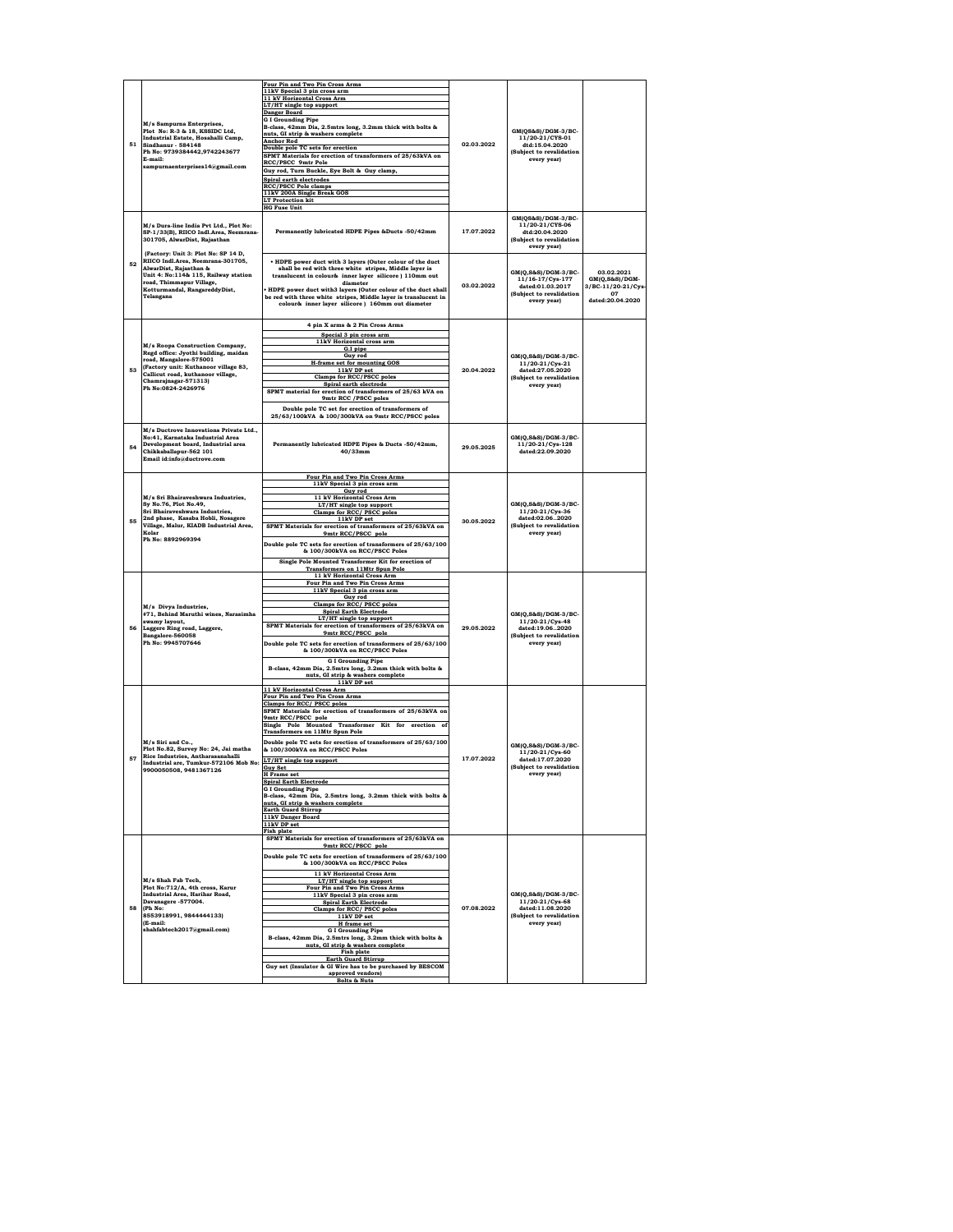|    |                                                                                                                                                                          | Four Pin and Two Pin Cross Arms<br>11kV Special 3 pin cross arm                                                     |            |                                                            |                              |
|----|--------------------------------------------------------------------------------------------------------------------------------------------------------------------------|---------------------------------------------------------------------------------------------------------------------|------------|------------------------------------------------------------|------------------------------|
|    |                                                                                                                                                                          | 11 kV Horizontal Cross Arm                                                                                          |            |                                                            |                              |
|    | M/s Sampurna Enterprises,<br>Plot No: R-3 & 18, KSSIDC Ltd,<br>Industrial Estate, Hosahalli Camp,<br>51<br>Sindhanur - 584148<br>Ph No: 9739384442,9742243677<br>E-mail: | LT/HT single top support<br><b>Danger Board</b>                                                                     |            |                                                            |                              |
|    |                                                                                                                                                                          | <b>G I Grounding Pipe</b>                                                                                           |            |                                                            |                              |
|    |                                                                                                                                                                          | B-class, 42mm Dia, 2.5mtrs long, 3.2mm thick with bolts &                                                           |            | GM(QS&S)/DGM-3/BC-                                         |                              |
|    |                                                                                                                                                                          | nuts, GI strip & washers complete<br><b>Anchor Rod</b>                                                              |            | 11/20-21/CYS-01                                            |                              |
|    |                                                                                                                                                                          | Double pole TC sets for erection                                                                                    | 02.03.2022 | dtd:15.04.2020                                             |                              |
|    |                                                                                                                                                                          | SPMT Materials for erection of transformers of 25/63kVA on                                                          |            | (Subject to revalidation<br>every yearl                    |                              |
|    | sampurnaenterprises14@gmail.com                                                                                                                                          | RCC/PSCC 9mtr Pole<br>Guy rod, Turn Buckle, Eye Bolt & Guy clamp,                                                   |            |                                                            |                              |
|    |                                                                                                                                                                          | Spiral earth electrodes                                                                                             |            |                                                            |                              |
|    |                                                                                                                                                                          | <b>RCC/PSCC Pole clamps</b>                                                                                         |            |                                                            |                              |
|    |                                                                                                                                                                          | 11kV 200A Single Break GOS<br><b>LT Protection kit</b>                                                              |            |                                                            |                              |
|    |                                                                                                                                                                          | <b>HG Fuse Unit</b>                                                                                                 |            |                                                            |                              |
|    |                                                                                                                                                                          |                                                                                                                     |            | GM(QS&S)/DGM-3/BC-                                         |                              |
|    | M/s Dura-line India Pvt Ltd., Plot No:                                                                                                                                   | Permanently lubricated HDPE Pipes &Ducts -50/42mm                                                                   | 17.07.2022 | 11/20-21/CYS-06<br>dtd:20.04.2020                          |                              |
|    | SP-1/33(B), RIICO Indl.Area, Neemrana-<br>301705, AlwarDist, Rajasthan                                                                                                   |                                                                                                                     |            | (Subject to revalidation                                   |                              |
|    |                                                                                                                                                                          |                                                                                                                     |            | every year)                                                |                              |
|    | (Factory: Unit 3: Plot No: SP 14 D,<br>RIICO Indl.Area, Neemrana-301705,                                                                                                 |                                                                                                                     |            |                                                            |                              |
| 52 | AlwarDist, Rajasthan &                                                                                                                                                   | . HDPE power duct with 3 layers (Outer colour of the duct<br>shall be red with three white stripes, Middle layer is |            |                                                            |                              |
|    | Unit 4: No:114& 115, Railway station                                                                                                                                     | translucent in colour& inner layer silicore ) 110mm out                                                             |            | GM(Q,S&S)/DGM-3/BC-<br>11/16-17/Cys-177                    | 03.02.2021<br>GM(Q,S&S)/DGM- |
|    | road, Thimmapur Village,<br>Kotturmandal, RangareddyDist,                                                                                                                | diameter<br>HDPE power duct with3 layers (Outer colour of the duct shall                                            | 03.02.2022 | dated:01.03.2017                                           | 3/BC-11/20-21/Cys-           |
|    | Telangana                                                                                                                                                                | be red with three white stripes, Middle layer is translucent in                                                     |            | (Subject to revalidation                                   | 07<br>dated:20.04.2020       |
|    |                                                                                                                                                                          | colour& inner layer silicore ) 160mm out diameter                                                                   |            | every year)                                                |                              |
|    |                                                                                                                                                                          |                                                                                                                     |            |                                                            |                              |
|    |                                                                                                                                                                          | 4 pin X arms & 2 Pin Cross Arms                                                                                     |            |                                                            |                              |
|    |                                                                                                                                                                          | Special 3 pin cross arm                                                                                             |            |                                                            |                              |
|    | M/s Roopa Construction Company,                                                                                                                                          | 11kV Horizontal cross arm<br>G.I pipe                                                                               |            |                                                            |                              |
|    | Regd office: Jyothi building, maidan<br>road, Mangalore-575001                                                                                                           | Guy rod                                                                                                             |            | GM(Q,S&S)/DGM-3/BC-                                        |                              |
| 53 | (Factory unit: Kuthanoor village 83,                                                                                                                                     | <b>H-frame set for mounting GOS</b><br>11kV DP set                                                                  | 20.04.2022 | 11/20-21/Cys-21<br>dated:27.05.2020                        |                              |
|    | Callicut road, kuthanoor village,                                                                                                                                        | Clamps for RCC/PSCC poles                                                                                           |            | (Subject to revalidation                                   |                              |
|    | Chamrajnagar-571313)<br>Ph No:0824-2426976                                                                                                                               | Spiral earth electrode                                                                                              |            | every year)                                                |                              |
|    |                                                                                                                                                                          | SPMT material for erection of transformers of 25/63 kVA on<br>9mtr RCC / PSCC poles                                 |            |                                                            |                              |
|    |                                                                                                                                                                          | Double pole TC set for erection of transformers of                                                                  |            |                                                            |                              |
|    |                                                                                                                                                                          | 25/63/100kVA & 100/300kVA on 9mtr RCC/PSCC poles                                                                    |            |                                                            |                              |
|    | M/s Ductroye Innovations Private Ltd                                                                                                                                     |                                                                                                                     |            |                                                            |                              |
|    | No:41. Karnataka Industrial Area                                                                                                                                         |                                                                                                                     |            | GM(O.S&S)/DGM-3/BC-                                        |                              |
| 54 | Development board, Industrial area                                                                                                                                       | Permanently lubricated HDPE Pipes & Ducts -50/42mm,                                                                 | 29.05.2025 | 11/20-21/Cvs-128                                           |                              |
|    | Chikkaballapur-562 101<br>Email id:info@ductrove.com                                                                                                                     | $40/33$ mm                                                                                                          |            | dated:22.09.2020                                           |                              |
|    |                                                                                                                                                                          |                                                                                                                     |            |                                                            |                              |
|    |                                                                                                                                                                          | Four Pin and Two Pin Cross Arms                                                                                     |            |                                                            |                              |
|    |                                                                                                                                                                          | 11kV Special 3 pin cross arm                                                                                        |            |                                                            |                              |
|    | M/s Sri Bhairaveshwara Industries,                                                                                                                                       | Guy rod<br>11 kV Horizontal Cross Arm                                                                               |            | GM(Q,S&S)/DGM-3/BC-                                        |                              |
|    | Sy No.76, Plot No.49,                                                                                                                                                    | LT/HT single top support                                                                                            |            |                                                            |                              |
|    | Sri Bhairaveshwara Industries,                                                                                                                                           | Clamps for RCC/ PSCC poles                                                                                          |            | 11/20-21/Cys-36                                            |                              |
| 55 | 2nd phase, Kasaba Hobli, Nosagere<br>Village, Malur, KIADB Industrial Area,                                                                                              | 11kV DP set<br>SPMT Materials for erection of transformers of 25/63kVA on                                           | 30.05.2022 | dated:02.062020<br>(Subject to revalidation<br>every year) |                              |
|    | Kolar                                                                                                                                                                    | 9mtr RCC/PSCC pole                                                                                                  |            |                                                            |                              |
|    | Ph No: 8892969394                                                                                                                                                        | Double pole TC sets for erection of transformers of 25/63/100                                                       |            |                                                            |                              |
|    |                                                                                                                                                                          | & 100/300kVA on RCC/PSCC Poles                                                                                      |            |                                                            |                              |
|    |                                                                                                                                                                          | Single Pole Mounted Transformer Kit for erection of                                                                 |            |                                                            |                              |
|    |                                                                                                                                                                          | <b>Transformers on 11Mtr Spun Pole</b>                                                                              |            |                                                            |                              |
|    |                                                                                                                                                                          | 11 kV Horizontal Cross Arm<br>Four Pin and Two Pin Cross Arms                                                       |            |                                                            |                              |
|    |                                                                                                                                                                          | 11kV Special 3 pin cross arm                                                                                        |            |                                                            |                              |
|    |                                                                                                                                                                          | Guv rod<br>Clamps for RCC/ PSCC poles                                                                               |            |                                                            |                              |
|    | M/s Divya Industries,<br>#71, Behind Maruthi wines, Narasimha                                                                                                            | <b>Spiral Earth Electrode</b>                                                                                       | 29.05.2022 | GM(Q,S&S)/DGM-3/BC-                                        |                              |
|    | swamy layout,                                                                                                                                                            | LT/HT single top support<br>SPMT Materials for erection of transformers of 25/63kVA on                              |            | 11/20-21/Cys-48                                            |                              |
| 56 | Laggere Ring road, Laggere,<br>Bangalore-560058                                                                                                                          | 9mtr RCC/PSCC pole                                                                                                  |            | dated:19.062020<br>(Subject to revalidation<br>every year) |                              |
|    | Ph No: 9945707646                                                                                                                                                        | Double pole TC sets for erection of transformers of 25/63/100                                                       |            |                                                            |                              |
|    |                                                                                                                                                                          | & 100/300kVA on RCC/PSCC Poles                                                                                      |            |                                                            |                              |
|    |                                                                                                                                                                          | <b>GI Grounding Pipe</b>                                                                                            |            |                                                            |                              |
|    |                                                                                                                                                                          | B-class, 42mm Dia, 2.5mtrs long, 3.2mm thick with bolts &<br>nuts, GI strip & washers complete                      |            |                                                            |                              |
|    |                                                                                                                                                                          | 11kV DP set                                                                                                         |            |                                                            |                              |
|    |                                                                                                                                                                          | 11 kV Horizontal Cross Arm                                                                                          |            |                                                            |                              |
|    |                                                                                                                                                                          | Four Pin and Two Pin Cross Arms<br>Clamps for RCC/PSCC poles                                                        |            |                                                            |                              |
|    |                                                                                                                                                                          | SPMT Materials for erection of transformers of 25/63kVA on                                                          |            |                                                            |                              |
|    |                                                                                                                                                                          | 9mtr RCC/PSCC pole<br>Single Pole Mounted Transformer Kit for erection of                                           |            |                                                            |                              |
|    |                                                                                                                                                                          | <b>Transformers on 11Mtr Spun Pole</b>                                                                              |            |                                                            |                              |
|    | M/s Siri and Co.,                                                                                                                                                        | Double pole TC sets for erection of transformers of 25/63/100                                                       |            | GM(O.S&S)/DGM-3/BC-                                        |                              |
|    | Plot No.82, Survey No: 24, Jai matha<br>Rice Industries, Antharasanahalli                                                                                                | & 100/300kVA on RCC/PSCC Poles                                                                                      |            | 11/20-21/Cys-60                                            |                              |
| 57 | Industrial are, Tumkur-572106 Mob No:                                                                                                                                    | LT/HT single top support                                                                                            | 17.07.2022 | dated:17.07.2020                                           |                              |
|    | 9900050508, 9481367126                                                                                                                                                   | Guy Set<br><b>H</b> Frame set                                                                                       |            | (Subject to revalidation<br>every year)                    |                              |
|    |                                                                                                                                                                          | <b>Spiral Earth Electrode</b>                                                                                       |            |                                                            |                              |
|    |                                                                                                                                                                          | <b>G I Grounding Pipe</b>                                                                                           |            |                                                            |                              |
|    |                                                                                                                                                                          | B-class, 42mm Dia, 2.5mtrs long, 3.2mm thick with bolts &<br>nuts, GI strip & washers complete                      |            |                                                            |                              |
|    |                                                                                                                                                                          | <b>Earth Guard Stirrup</b>                                                                                          |            |                                                            |                              |
|    |                                                                                                                                                                          | 11kV Danger Board<br>11kV DP set                                                                                    |            |                                                            |                              |
|    |                                                                                                                                                                          | <b>Fish plate</b>                                                                                                   |            |                                                            |                              |
|    |                                                                                                                                                                          | SPMT Materials for erection of transformers of 25/63kVA on<br>9mtr RCC/PSCC pole                                    |            |                                                            |                              |
|    |                                                                                                                                                                          | Double pole TC sets for erection of transformers of 25/63/100                                                       |            |                                                            |                              |
|    |                                                                                                                                                                          | & 100/300kVA on RCC/PSCC Poles                                                                                      |            |                                                            |                              |
|    |                                                                                                                                                                          | 11 kV Horizontal Cross Arn                                                                                          |            |                                                            |                              |
|    | M/s Shah Fab Tech,                                                                                                                                                       | LT/HT single top support                                                                                            |            |                                                            |                              |
|    | Plot No:712/A, 4th cross, Karur<br><b>Industrial Area, Harihar Road,</b>                                                                                                 | Four Pin and Two Pin Cross Arms<br>11kV Special 3 pin cross arm                                                     |            | GM(Q,S&S)/DGM-3/BC-                                        |                              |
|    | Davanagere -577004.                                                                                                                                                      | <b>Spiral Earth Electrode</b>                                                                                       |            | 11/20-21/Cys-68                                            |                              |
| 58 | (Ph No:<br>8553918991, 9844444133)                                                                                                                                       | Clamps for RCC/ PSCC poles                                                                                          | 07.08.2022 | dated:11.08.2020<br>(Subject to revalidation               |                              |
|    | (E-mail:                                                                                                                                                                 | 11kV DP set<br>H frame set                                                                                          |            | every year)                                                |                              |
|    | shahfabtech2017@gmail.com)                                                                                                                                               | <b>GI Grounding Pipe</b>                                                                                            |            |                                                            |                              |
|    |                                                                                                                                                                          | B-class, 42mm Dia, 2.5mtrs long, 3.2mm thick with bolts &<br>nuts. GI strip & washers complete                      |            |                                                            |                              |
|    |                                                                                                                                                                          | Fish plate                                                                                                          |            |                                                            |                              |
|    |                                                                                                                                                                          | <b>Earth Guard Stirrup</b><br>Guy set (Insulator & GI Wire has to be purchased by BESCOM                            |            |                                                            |                              |
|    |                                                                                                                                                                          | approved vendors)                                                                                                   |            |                                                            |                              |
|    |                                                                                                                                                                          | <b>Bolts &amp; Nuts</b>                                                                                             |            |                                                            |                              |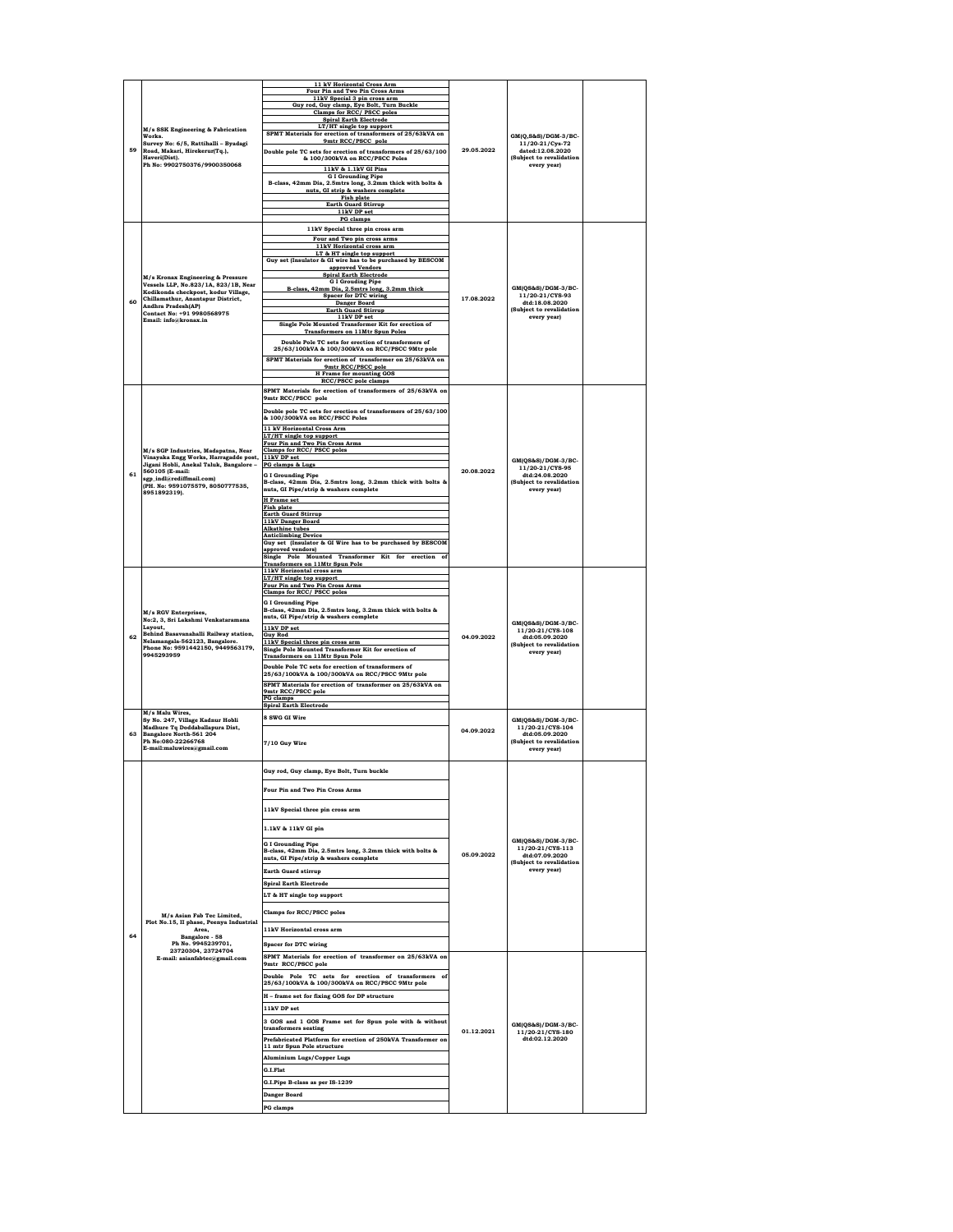|    |                                                                                                                                  | 11 kV Horizontal Cross Arm<br>Four Pin and Two Pin Cross Arms                                                              |            |                                                                              |  |
|----|----------------------------------------------------------------------------------------------------------------------------------|----------------------------------------------------------------------------------------------------------------------------|------------|------------------------------------------------------------------------------|--|
|    |                                                                                                                                  | 11kV Special 3 pin cross arm<br>Guy rod, Guy clamp, Eye Bolt, Turn Buckle<br>Clamps for RCC/ PSCC poles                    |            |                                                                              |  |
|    | M/s SSK Engineering & Fabrication                                                                                                | <b>Spiral Earth Electrode</b><br>LT/HT single top support                                                                  |            |                                                                              |  |
|    | Works.<br>Survey No: 6/5, Rattihalli - Byadagi<br>Road, Makari, Hirekerur(Tq.),<br>Haveri(Dist).<br>Ph No: 9902750376/9900350068 | SPMT Materials for erection of transformers of 25/63kVA on<br>9mtr RCC/PSCC pole                                           |            | $GM(Q, S\&S)/DGM-3/BC$<br>11/20-21/Cys-72                                    |  |
| 59 |                                                                                                                                  | Double pole TC sets for erection of transformers of 25/63/100<br>& 100/300kVA on RCC/PSCC Poles                            | 29.05.2022 | dated:12.08.2020<br>(Subject to revalidation<br>every year)                  |  |
|    |                                                                                                                                  | 11kV & 1.1kV GI Pins<br><b>G I Grounding Pipe</b><br>B-class, 42mm Dia, 2.5mtrs long, 3.2mm thick with bolts &             |            |                                                                              |  |
|    |                                                                                                                                  | nuts, GI strip & washers complete<br>Fish plate                                                                            |            |                                                                              |  |
|    |                                                                                                                                  | <b>Earth Guard Stirrup</b><br>11kV DP set                                                                                  |            |                                                                              |  |
|    |                                                                                                                                  | PG clamps<br>11kV Special three pin cross arm                                                                              |            |                                                                              |  |
|    |                                                                                                                                  | Four and Two pin cross arms<br>11kV Horizontal cross arm<br>LT & HT single top support                                     |            |                                                                              |  |
|    |                                                                                                                                  | Guy set (Insulator & GI wire has to be purchased by BESCOM<br>approved Vendors                                             |            |                                                                              |  |
|    | M/s Kronax Engineering & Pressure<br>Vessels LLP, No.823/1A, 823/1B, Near                                                        | <b>Spiral Earth Electrode</b><br><b>G I Grouding Pipe</b><br>B-class, 42mm Dia, 2.5mtrs long, 3.2mm thick                  |            | GM(QS&S)/DGM-3/BC-                                                           |  |
| 60 | Kodikonda checkpost, kodur Village,<br>Chillamathur, Anantapur District,<br>Andhra Pradesh(AP)                                   | <b>Spacer for DTC wiring</b><br>Danger Board                                                                               | 17.08.2022 | 11/20-21/CYS-93<br>dtd:18.08.2020                                            |  |
|    | Contact No: +91 9980568975<br>Email: info@kronax.in                                                                              | <b>Earth Guard Stirrup</b><br>11kV DP set<br>Single Pole Mounted Transformer Kit for erection of                           |            | (Subject to revalidation<br>every year)                                      |  |
|    |                                                                                                                                  | <b>Transformers on 11Mtr Spun Poles</b><br>Double Pole TC sets for erection of transformers of                             |            |                                                                              |  |
|    |                                                                                                                                  | 25/63/100kVA & 100/300kVA on RCC/PSCC 9Mtr pole<br>SPMT Materials for erection of transformer on 25/63kVA on               |            |                                                                              |  |
|    |                                                                                                                                  | 9mtr RCC/PSCC pole<br><b>H</b> Frame for mounting GOS                                                                      |            |                                                                              |  |
|    |                                                                                                                                  | RCC/PSCC pole clamps<br>SPMT Materials for erection of transformers of 25/63kVA on                                         |            |                                                                              |  |
|    |                                                                                                                                  | 9mtr RCC/PSCC pole<br>Double pole TC sets for erection of transformers of 25/63/100                                        |            |                                                                              |  |
|    |                                                                                                                                  | & 100/300kVA on RCC/PSCC Poles<br>11 kV Horizontal Cross Arm                                                               |            |                                                                              |  |
|    |                                                                                                                                  | LT/HT single top support<br>Four Pin and Two Pin Cross Arms                                                                |            |                                                                              |  |
|    | M/s SGP Industries, Madapatna, Near<br>Vinayaka Engg Works, Harragadde post,<br>Jigani Hobli, Anekal Taluk, Bangalore -          | Clamps for RCC/PSCC poles<br>11kV DP set<br>PG clamps & Lugs                                                               |            | GM(QS&S)/DGM-3/BC-                                                           |  |
| 61 | 560105 (E-mail:<br>sgp_indl@rediffmail.com)                                                                                      | <b>G I Grounding Pipe</b><br>B-class, 42mm Dia, 2.5mtrs long, 3.2mm thick with bolts &                                     | 20.08.2022 | 11/20-21/CYS-95<br>dtd:24.08.2020<br>(Subject to revalidation<br>every year) |  |
|    | (PH. No: 9591075579, 8050777535,<br>.<br>8951892319).                                                                            | nuts, GI Pipe/strip & washers complete<br><b>H</b> Frame set                                                               |            |                                                                              |  |
|    |                                                                                                                                  | Fish plate<br><b>Earth Guard Stirrup</b>                                                                                   |            |                                                                              |  |
|    |                                                                                                                                  | 11kV Danger Board<br><b>Alkathine</b> tubes<br><b>Anticlimbing Device</b>                                                  |            |                                                                              |  |
|    |                                                                                                                                  | Guy set (Insulator & GI Wire has to be purchased by BESCOM<br>approved vendors)                                            |            |                                                                              |  |
|    | M/s RGV Enterprises.<br>No:2, 3, Sri Lakshmi Venkataramana                                                                       | Single Pole Mounted Transformer Kit for erection of<br><b>Transformers on 11Mtr Spun Pole</b><br>11kV Horizontal cross arm | 04.09.2022 |                                                                              |  |
|    |                                                                                                                                  | LT/HT single top support<br>Four Pin and Two Pin Cross Arms                                                                |            |                                                                              |  |
|    |                                                                                                                                  | Clamps for RCC/PSCC poles<br><b>G I Grounding Pipe</b>                                                                     |            |                                                                              |  |
|    |                                                                                                                                  | B-class, 42mm Dia, 2.5mtrs long, 3.2mm thick with bolts &<br>nuts, GI Pipe/strip & washers complete                        |            | GM(QS&S)/DGM-3/BC-                                                           |  |
| 62 | Layout,<br>Behind Basavanahalli Railway station,<br>Nelamangala-562123, Bangalore.                                               | 11kV DP set<br><b>Guy Rod</b><br>11kV Special three pin cross arm                                                          |            | 11/20-21/CYS-108<br>dtd:05.09.2020                                           |  |
|    | Phone No: 9591442150, 9449563179,<br>9945293959                                                                                  | Single Pole Mounted Transformer Kit for erection of<br><b>Transformers on 11Mtr Spun Pole</b>                              |            | (Subject to revalidation<br>every year)                                      |  |
|    |                                                                                                                                  | Double Pole TC sets for erection of transformers of<br>25/63/100kVA & 100/300kVA on RCC/PSCC 9Mtr pole                     |            |                                                                              |  |
|    |                                                                                                                                  | SPMT Materials for erection of transformer on 25/63kVA on<br>9mtr RCC/PSCC pole<br><b>PG</b> clamps                        |            |                                                                              |  |
|    | M/s Malu Wires.                                                                                                                  | <b>Spiral Earth Electrode</b><br>8 SWG GI Wire                                                                             |            |                                                                              |  |
| 63 | Sy No. 247, Village Kadnur Hobli<br>Madhure Tq Doddaballapura Dist,<br>Bangalore North-561 204                                   |                                                                                                                            | 04.09.2022 | GM(QS&S)/DGM-3/BC-<br>11/20-21/CYS-104<br>dtd:05.09.2020                     |  |
|    | Ph No:080-22266768<br>E-mail:maluwires@gmail.com                                                                                 | 7/10 Guy Wire                                                                                                              |            | (Subject to revalidation<br>every year)                                      |  |
|    |                                                                                                                                  | Guy rod, Guy clamp, Eye Bolt, Turn buckle                                                                                  |            |                                                                              |  |
|    |                                                                                                                                  | Four Pin and Two Pin Cross Arms                                                                                            |            |                                                                              |  |
|    |                                                                                                                                  |                                                                                                                            |            |                                                                              |  |
|    |                                                                                                                                  | 11kV Special three pin cross arm                                                                                           |            |                                                                              |  |
|    |                                                                                                                                  | 1.1kV & 11kV GI pin<br><b>GI Grounding Pine</b>                                                                            |            | GM(QS&S)/DGM-3/BC-                                                           |  |
|    |                                                                                                                                  | B-class, 42mm Dia, 2.5mtrs long, 3.2mm thick with bolts &<br>nuts, GI Pipe/strip & washers complete                        | 05.09.2022 | 11/20-21/CYS-113<br>dtd:07.09.2020<br>(Subject to revalidation               |  |
|    |                                                                                                                                  | <b>Earth Guard stirrup</b>                                                                                                 |            | every year)                                                                  |  |
|    |                                                                                                                                  | <b>Spiral Earth Electrode</b><br>LT & HT single top support                                                                |            |                                                                              |  |
|    | M/s Asian Fab Tec Limited,                                                                                                       | Clamps for RCC/PSCC poles                                                                                                  |            |                                                                              |  |
|    | Plot No.15, II phase, Peenya Industrial<br>Area,                                                                                 | 11kV Horizontal cross arm                                                                                                  |            |                                                                              |  |
| 64 | Bangalore - 58<br>Ph No. 9945239701,<br>23720304.23724704                                                                        | <b>Spacer for DTC wiring</b>                                                                                               |            |                                                                              |  |
|    | E-mail: asianfabtec@gmail.com                                                                                                    | SPMT Materials for erection of transformer on 25/63kVA on<br>9mtr RCC/PSCC pole                                            |            |                                                                              |  |
|    |                                                                                                                                  | Double Pole TC sets for erection of transformers of<br>25/63/100kVA & 100/300kVA on RCC/PSCC 9Mtr pole                     |            |                                                                              |  |
|    |                                                                                                                                  | H - frame set for fixing GOS for DP structure                                                                              |            |                                                                              |  |
|    |                                                                                                                                  | 11kV DP set<br>3 GOS and 1 GOS Frame set for Spun pole with & without                                                      |            |                                                                              |  |
|    |                                                                                                                                  | transformers seating<br>Prefabricated Platform for erection of 250kVA Transformer on                                       | 01.12.2021 | GM(QS&S)/DGM-3/BC-<br>11/20-21/CYS-180<br>dtd:02.12.2020                     |  |
|    |                                                                                                                                  | 11 mtr Spun Pole structure<br><b>Aluminium Lugs/Copper Lugs</b>                                                            |            |                                                                              |  |
|    |                                                                                                                                  | G.I.Flat                                                                                                                   |            |                                                                              |  |
|    |                                                                                                                                  | G.I.Pipe B-class as per IS-1239                                                                                            |            |                                                                              |  |
|    |                                                                                                                                  | Danger Board<br><b>PG</b> clamps                                                                                           |            |                                                                              |  |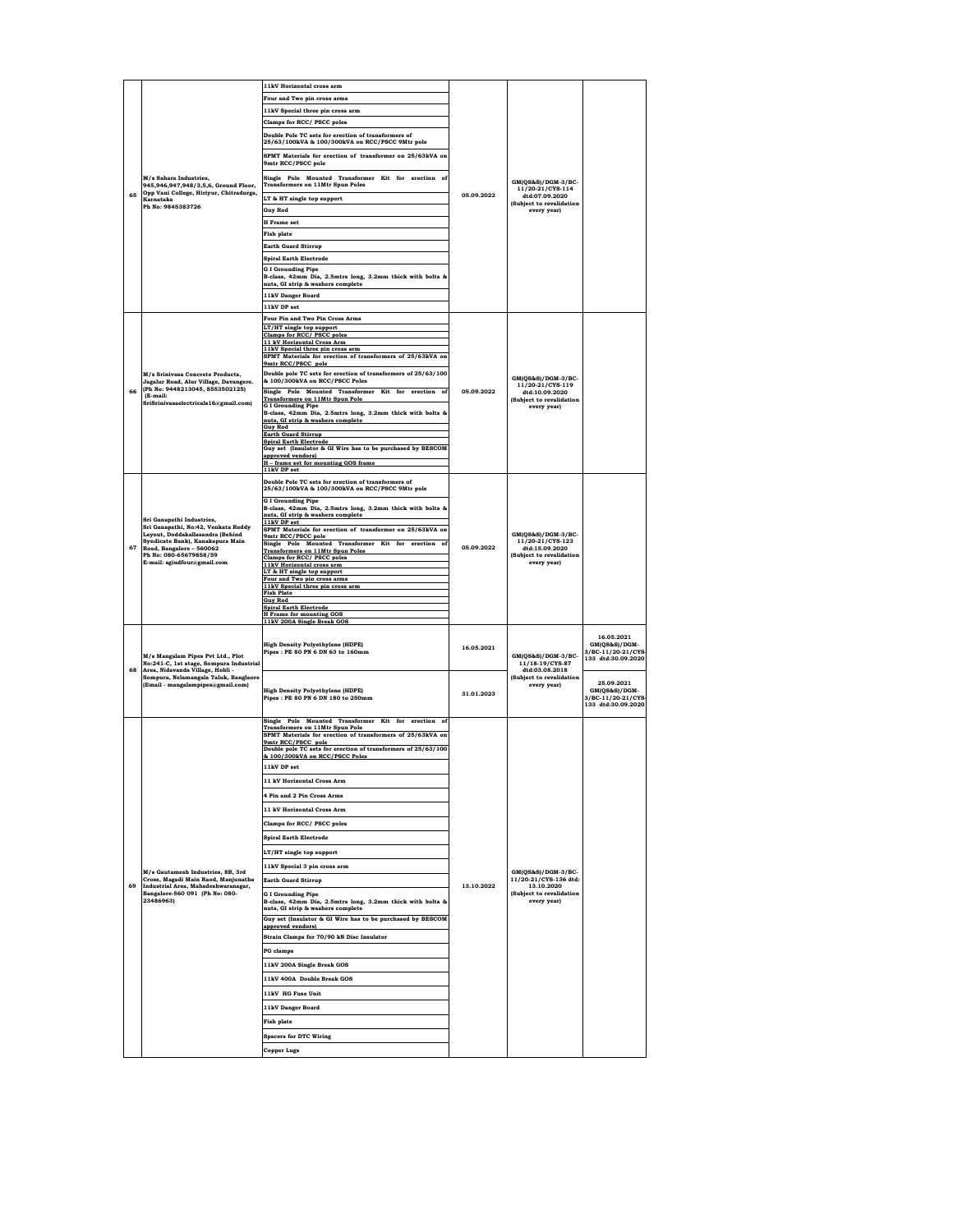|    |                                                                                                                                                                                                                               | 11kV Horizontal cross arm                                                                            |            |                                                         |                             |
|----|-------------------------------------------------------------------------------------------------------------------------------------------------------------------------------------------------------------------------------|------------------------------------------------------------------------------------------------------|------------|---------------------------------------------------------|-----------------------------|
|    |                                                                                                                                                                                                                               |                                                                                                      |            |                                                         |                             |
|    |                                                                                                                                                                                                                               | Four and Two pin cross arms                                                                          |            |                                                         |                             |
|    |                                                                                                                                                                                                                               | 11kV Special three pin cross arm                                                                     |            |                                                         |                             |
|    |                                                                                                                                                                                                                               | <b>Clamps for RCC/ PSCC poles</b>                                                                    |            |                                                         |                             |
|    |                                                                                                                                                                                                                               | Double Pole TC sets for erection of transformers of                                                  |            |                                                         |                             |
|    |                                                                                                                                                                                                                               | 25/63/100kVA & 100/300kVA on RCC/PSCC 9Mtr pole                                                      |            |                                                         |                             |
|    |                                                                                                                                                                                                                               | SPMT Materials for erection of transformer on 25/63kVA on                                            |            |                                                         |                             |
|    |                                                                                                                                                                                                                               | 9mtr RCC/PSCC pole                                                                                   |            |                                                         |                             |
|    | M/s Sahara Industries.                                                                                                                                                                                                        | Single Pole Mounted Transformer Kit for erection of                                                  |            |                                                         |                             |
|    | 945.946.947.948/3.5.6. Ground Floor.                                                                                                                                                                                          | <b>Transformers on 11Mtr Spun Poles</b>                                                              |            | GM(QS&S)/DGM-3/BC-<br>11/20-21/CYS-114                  |                             |
| 65 | Opp Vani College, Hiriyur, Chitradurga,<br>Karnataka                                                                                                                                                                          | LT & HT single top support                                                                           | 05.09.2022 | dtd:07.09.2020                                          |                             |
|    | Ph No: 9845383726                                                                                                                                                                                                             |                                                                                                      |            | (Subject to revalidation                                |                             |
|    |                                                                                                                                                                                                                               | <b>Guy Rod</b>                                                                                       |            | every year)                                             |                             |
|    |                                                                                                                                                                                                                               | <b>H</b> Frame set                                                                                   |            |                                                         |                             |
|    |                                                                                                                                                                                                                               | <b>Fish plate</b>                                                                                    |            |                                                         |                             |
|    |                                                                                                                                                                                                                               | <b>Earth Guard Stirrup</b>                                                                           |            |                                                         |                             |
|    |                                                                                                                                                                                                                               | <b>Spiral Earth Electrode</b>                                                                        |            |                                                         |                             |
|    |                                                                                                                                                                                                                               | <b>G I Grounding Pipe</b>                                                                            |            |                                                         |                             |
|    |                                                                                                                                                                                                                               | B-class, 42mm Dia, 2.5mtrs long, 3.2mm thick with bolts &                                            |            |                                                         |                             |
|    |                                                                                                                                                                                                                               | nuts, GI strip & washers complete                                                                    |            |                                                         |                             |
|    |                                                                                                                                                                                                                               | <b>11kV Danger Board</b>                                                                             |            |                                                         |                             |
|    |                                                                                                                                                                                                                               | 11kV DP set                                                                                          |            |                                                         |                             |
|    |                                                                                                                                                                                                                               | Four Pin and Two Pin Cross Arms                                                                      |            |                                                         |                             |
|    |                                                                                                                                                                                                                               | LT/HT single top support                                                                             |            |                                                         |                             |
|    |                                                                                                                                                                                                                               | Clamps for RCC/PSCC poles<br>11 kV Horizontal Cross Arm                                              |            |                                                         |                             |
|    |                                                                                                                                                                                                                               | 11kV Special three pin cross arm                                                                     |            |                                                         |                             |
|    |                                                                                                                                                                                                                               | SPMT Materials for erection of transformers of 25/63kVA on                                           |            |                                                         |                             |
|    |                                                                                                                                                                                                                               | 9mtr RCC/PSCC pole                                                                                   |            |                                                         |                             |
|    | M/s Srinivasa Concrete Products,<br>Jagalur Road, Alur Village, Davangere.                                                                                                                                                    | Double pole TC sets for erection of transformers of 25/63/100<br>& 100/300kVA on RCC/PSCC Poles      |            | GM(QS&S)/DGM-3/BC-                                      |                             |
| 66 | (Ph No: 9448213045, 8553502125)                                                                                                                                                                                               | Single Pole Mounted Transformer Kit for erection of                                                  | 05.09.2022 | 11/20-21/CYS-119<br>dtd:10.09.2020                      |                             |
|    | (E-mail:<br>SriSrinivasaelectricals16@gmail.com)                                                                                                                                                                              | <b>Transformers on 11Mtr Spun Pole</b>                                                               |            | (Subject to revalidation                                |                             |
|    |                                                                                                                                                                                                                               | <b>G I Grounding Pipe</b><br>B-class, 42mm Dia, 2.5mtrs long, 3.2mm thick with bolts &               |            | every year)                                             |                             |
|    |                                                                                                                                                                                                                               | nuts, GI strip & washers complete                                                                    |            |                                                         |                             |
|    |                                                                                                                                                                                                                               | <b>Guy Rod</b><br><b>Earth Guard Stirrup</b>                                                         |            |                                                         |                             |
|    |                                                                                                                                                                                                                               | <b>Spiral Earth Electrode</b>                                                                        |            |                                                         |                             |
|    |                                                                                                                                                                                                                               | Guy set (Insulator & GI Wire has to be purchased by BESCOM<br>approved vendors)                      |            |                                                         |                             |
|    |                                                                                                                                                                                                                               | H - frame set for mounting GOS frame                                                                 |            |                                                         |                             |
|    |                                                                                                                                                                                                                               | 11kV DP set                                                                                          |            |                                                         |                             |
|    |                                                                                                                                                                                                                               | Double Pole TC sets for erection of transformers of                                                  |            |                                                         |                             |
|    |                                                                                                                                                                                                                               | 25/63/100kVA & 100/300kVA on RCC/PSCC 9Mtr pole                                                      |            |                                                         |                             |
|    | Sri Ganapathi Industries,<br>Sri Ganapathi, No:42, Venkata Reddy<br>Layout, Doddakallasandra (Behind<br>Syndicate Bank), Kanakapura Main<br>Road, Bangalore - 560062<br>Ph No: 080-65679858/59<br>E-mail: sgindfour@gmail.com | <b>G I Grounding Pipe</b><br>B-class, 42mm Dia, 2.5mtrs long, 3.2mm thick with bolts &               |            |                                                         |                             |
|    |                                                                                                                                                                                                                               | nuts, GI strip & washers complete                                                                    |            |                                                         |                             |
|    |                                                                                                                                                                                                                               | 11kV DP set                                                                                          |            |                                                         |                             |
|    |                                                                                                                                                                                                                               | SPMT Materials for erection of transformer on 25/63kVA on<br>9mtr RCC/PSCC pole                      |            | GM(QS&S)/DGM-3/BC-                                      |                             |
| 67 |                                                                                                                                                                                                                               | Single Pole Mounted Transformer Kit for erection of                                                  | 05.09.2022 | 11/20-21/CYS-123<br>dtd:15.09.2020                      |                             |
|    |                                                                                                                                                                                                                               | <b>Transformers on 11Mtr Spun Poles</b><br>Clamps for RCC/ PSCC poles                                |            | (Subject to revalidation                                |                             |
|    |                                                                                                                                                                                                                               | 11kV Horizontal cross arm                                                                            |            | every year)                                             |                             |
|    |                                                                                                                                                                                                                               | LT & HT single top support<br>Four and Two pin cross arms                                            |            |                                                         |                             |
|    |                                                                                                                                                                                                                               | 11kV Special three pin cross arm                                                                     |            |                                                         |                             |
|    |                                                                                                                                                                                                                               | <b>Fish Plate</b><br><b>Guv Rod</b>                                                                  |            |                                                         |                             |
|    |                                                                                                                                                                                                                               | <b>Spiral Earth Electrode</b>                                                                        |            |                                                         |                             |
|    |                                                                                                                                                                                                                               | <b>H</b> Frame for mounting GOS<br>11kV 200A Single Break GOS                                        |            |                                                         |                             |
|    |                                                                                                                                                                                                                               |                                                                                                      |            |                                                         |                             |
|    |                                                                                                                                                                                                                               | <b>High Density Polyethylene (HDPE)</b>                                                              |            |                                                         | 16.05.2021<br>GM(QS&S)/DGM- |
|    |                                                                                                                                                                                                                               | Pipes: PE 80 PN 6 DN 63 to 160mm                                                                     | 16.05.2021 |                                                         | 3/BC-11/20-21/CYS-          |
|    | M/s Mangalam Pipes Pvt Ltd., Plot                                                                                                                                                                                             |                                                                                                      |            | GM(QS&S)/DGM-3/BC-<br>11/18-19/CYS-87<br>dtd:03.08.2018 |                             |
|    |                                                                                                                                                                                                                               |                                                                                                      |            |                                                         | 133 dtd:30.09.2020          |
| 68 | No:241-C, 1st stage, Sompura Industrial<br>Area, Nidavanda Village, Hobli -                                                                                                                                                   |                                                                                                      |            |                                                         |                             |
|    | Sompura, Nelamangala Taluk, Banglaore                                                                                                                                                                                         |                                                                                                      |            | (Subject to revalidation                                |                             |
|    | (Email - mangalampipes@gmail.com)                                                                                                                                                                                             | <b>High Density Polyethylene (HDPE)</b>                                                              | 31.01.2023 | every year)                                             | 25.09.2021<br>GM(QS&S)/DGM- |
|    |                                                                                                                                                                                                                               | Pipes: PE 80 PN 6 DN 180 to 250mm                                                                    |            |                                                         | 3/BC-11/20-21/CYS-          |
|    |                                                                                                                                                                                                                               |                                                                                                      |            |                                                         | 133 dtd:30.09.2020          |
|    |                                                                                                                                                                                                                               | Single Pole Mounted Transformer Kit for erection of                                                  |            |                                                         |                             |
|    |                                                                                                                                                                                                                               | <b>Transformers on 11Mtr Spun Pole</b><br>SPMT Materials for erection of transformers of 25/63kVA on |            |                                                         |                             |
|    |                                                                                                                                                                                                                               | 9mtr RCC/PSCC pole                                                                                   |            |                                                         |                             |
|    |                                                                                                                                                                                                                               | Double pole TC sets for erection of transformers of 25/63/100<br>& 100/300kVA on RCC/PSCC Poles      |            |                                                         |                             |
|    |                                                                                                                                                                                                                               | 11kV DP set                                                                                          |            |                                                         |                             |
|    |                                                                                                                                                                                                                               |                                                                                                      |            |                                                         |                             |
|    |                                                                                                                                                                                                                               | 11 kV Horizontal Cross Arm                                                                           |            |                                                         |                             |
|    |                                                                                                                                                                                                                               | 4 Pin and 2 Pin Cross Arms                                                                           |            |                                                         |                             |
|    |                                                                                                                                                                                                                               | 11 kV Horizontal Cross Arm                                                                           |            |                                                         |                             |
|    |                                                                                                                                                                                                                               |                                                                                                      |            |                                                         |                             |
|    |                                                                                                                                                                                                                               | Clamps for RCC/ PSCC poles                                                                           |            |                                                         |                             |
|    |                                                                                                                                                                                                                               | <b>Spiral Earth Electrode</b>                                                                        |            |                                                         |                             |
|    |                                                                                                                                                                                                                               |                                                                                                      |            |                                                         |                             |
|    |                                                                                                                                                                                                                               | LT/HT single top support                                                                             |            |                                                         |                             |
|    | M/s Gautamesh Industries, 8B, 3rd                                                                                                                                                                                             | 11kV Special 3 pin cross arm                                                                         |            | GM(QS&S)/DGM-3/BC-                                      |                             |
|    | Cross, Magadi Main Raod, Manjunatha                                                                                                                                                                                           | <b>Earth Guard Stirrup</b>                                                                           | 13.10.2022 | 11/20-21/CYS-136 dtd:                                   |                             |
| 69 | Industrial Area, Mahadeshwaranagar,<br>Bangalore-560 091 (Ph No: 080-                                                                                                                                                         | <b>G I Grounding Pipe</b>                                                                            |            | 13.10.2020<br>(Subject to revalidation                  |                             |
|    | 23486963)                                                                                                                                                                                                                     | B-class, 42mm Dia, 2.5mtrs long, 3.2mm thick with bolts &                                            |            | every year)                                             |                             |
|    |                                                                                                                                                                                                                               | nuts, GI strip & washers complete                                                                    |            |                                                         |                             |
|    |                                                                                                                                                                                                                               | Guy set (Insulator & GI Wire has to be purchased by BESCOM<br>approved vendors)                      |            |                                                         |                             |
|    |                                                                                                                                                                                                                               |                                                                                                      |            |                                                         |                             |
|    |                                                                                                                                                                                                                               | Strain Clamps for 70/90 kN Disc Insulator                                                            |            |                                                         |                             |
|    |                                                                                                                                                                                                                               | <b>PG</b> clamps                                                                                     |            |                                                         |                             |
|    |                                                                                                                                                                                                                               | 11kV 200A Single Break GOS                                                                           |            |                                                         |                             |
|    |                                                                                                                                                                                                                               |                                                                                                      |            |                                                         |                             |
|    |                                                                                                                                                                                                                               | 11kV 400A Double Break GOS                                                                           |            |                                                         |                             |
|    |                                                                                                                                                                                                                               | 11kV HG Fuse Unit                                                                                    |            |                                                         |                             |
|    |                                                                                                                                                                                                                               | 11kV Danger Board                                                                                    |            |                                                         |                             |
|    |                                                                                                                                                                                                                               | <b>Fish plate</b>                                                                                    |            |                                                         |                             |
|    |                                                                                                                                                                                                                               |                                                                                                      |            |                                                         |                             |
|    |                                                                                                                                                                                                                               | <b>Spacers for DTC Wiring</b>                                                                        |            |                                                         |                             |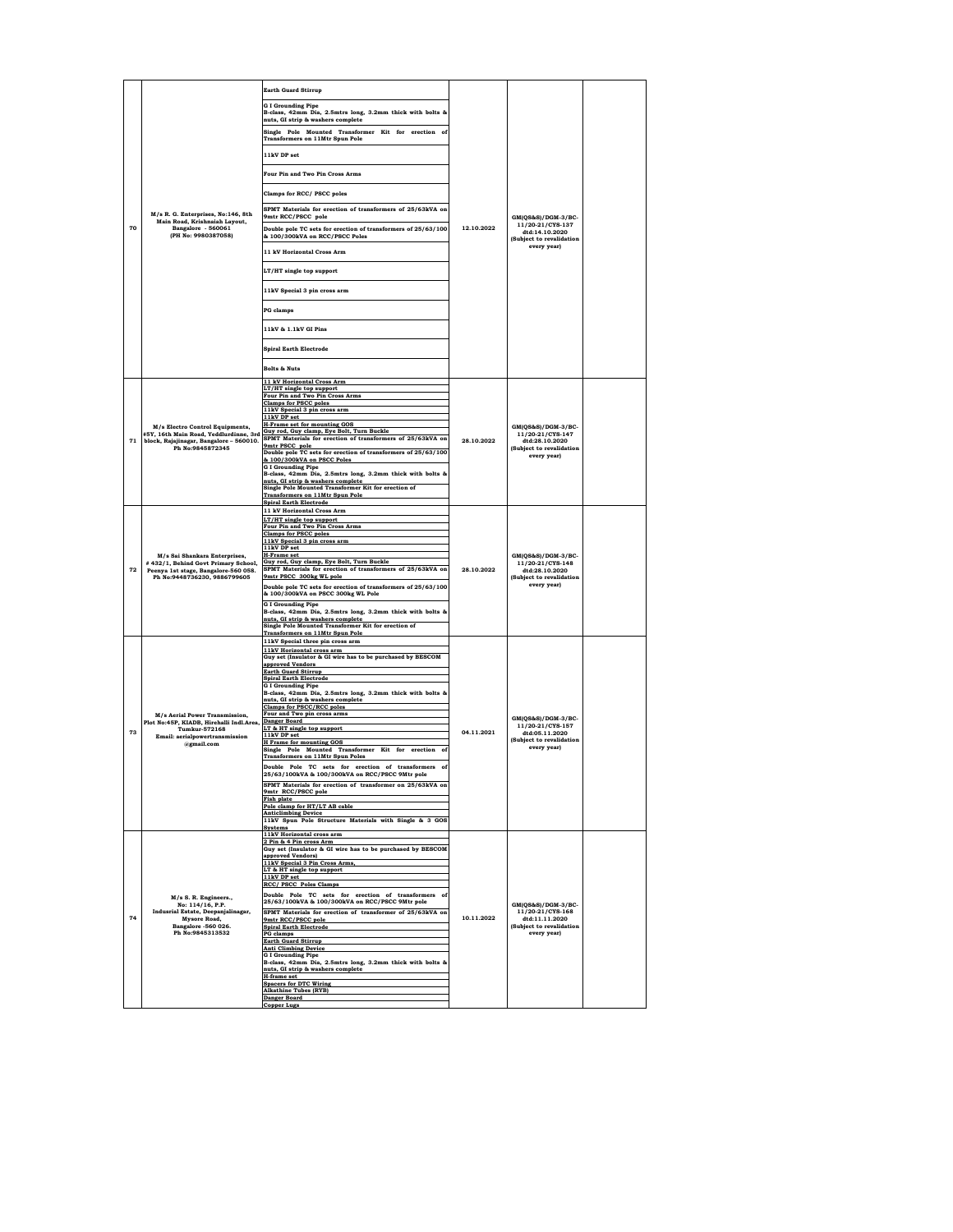| 70 | M/s R. G. Enterprises, No:146, 8th<br>Main Road, Krishnaiah Layout,<br>Bangalore - 560061<br>(PH No: 9980387058)                             | <b>Earth Guard Stirrup</b><br><b>G I Grounding Pipe</b><br>B-class, 42mm Dia, 2.5mtrs long, 3.2mm thick with bolts &<br>nuts, GI strip & washers complete<br>Single Pole Mounted Transformer Kit for erection of<br><b>Transformers on 11Mtr Spun Pole</b><br>11kV DP set<br>Four Pin and Two Pin Cross Arms<br>Clamps for RCC/ PSCC poles<br>SPMT Materials for erection of transformers of 25/63kVA on<br>9mtr RCC/PSCC pole<br>Double pole TC sets for erection of transformers of 25/63/100<br>& 100/300kVA on RCC/PSCC Poles<br>11 kV Horizontal Cross Arm<br>LT/HT single top support<br>11kV Special 3 pin cross arm<br><b>PG</b> clamps<br>11kV & 1.1kV GI Pins<br><b>Spiral Earth Electrode</b><br><b>Bolts &amp; Nuts</b>                                                                                                                                                                                                                        | 12.10.2022 | GM(QS&S)/DGM-3/BC-<br>11/20-21/CYS-137<br>dtd:14.10.2020<br>(Subject to revalidation<br>every year) |  |
|----|----------------------------------------------------------------------------------------------------------------------------------------------|------------------------------------------------------------------------------------------------------------------------------------------------------------------------------------------------------------------------------------------------------------------------------------------------------------------------------------------------------------------------------------------------------------------------------------------------------------------------------------------------------------------------------------------------------------------------------------------------------------------------------------------------------------------------------------------------------------------------------------------------------------------------------------------------------------------------------------------------------------------------------------------------------------------------------------------------------------|------------|-----------------------------------------------------------------------------------------------------|--|
| 71 | M/s Electro Control Equipments,<br>block, Rajajinagar, Bangalore - 560010.<br>Ph No:9845872345                                               | 11 kV Horizontal Cross Arm<br>LT/HT single top support<br>Four Pin and Two Pin Cross Arms<br><b>Clamps for PSCC poles</b><br>11kV Special 3 pin cross arm<br>11kV DP set<br><b>H-Frame set for mounting GOS</b><br>#5Y, 16th Main Road, Yeddlurdinne, 3rd Guy rod, Guy clamp, Eye Bolt, Turn Buckle<br>SPMT Materials for erection of transformers of 25/63kVA on<br>9mtr PSCC pole<br>Double pole TC sets for erection of transformers of 25/63/100<br>& 100/300kVA on PSCC Poles<br><b>G I Grounding Pipe</b><br>B-class, 42mm Dia, 2.5mtrs long, 3.2mm thick with bolts &<br>nuts, GI strip & washers complete<br>Single Pole Mounted Transformer Kit for erection of<br><b>Transformers on 11Mtr Spun Pole</b><br><b>Spiral Earth Electrode</b>                                                                                                                                                                                                        | 28.10.2022 | GM(QS&S)/DGM-3/BC-<br>11/20-21/CYS-147<br>dtd:28.10.2020<br>(Subject to revalidation<br>every year) |  |
| 72 | M/s Sai Shankara Enterprises,<br>#432/1, Behind Govt Primary School,<br>Peenya 1st stage, Bangalore-560 058.<br>Ph No:9448736230, 9886799605 | 11 kV Horizontal Cross Arm<br>LT/HT single top support<br>Four Pin and Two Pin Cross Arms<br><b>Clamps for PSCC poles</b><br>11kV Special 3 pin cross arm<br>11kV DP set<br><b>H-Frame set</b><br>Guy rod, Guy clamp, Eye Bolt, Turn Buckle<br>SPMT Materials for erection of transformers of 25/63kVA on<br>9mtr PSCC 300kg WL pole<br>Double pole TC sets for erection of transformers of 25/63/100<br>& 100/300kVA on PSCC 300kg WL Pole<br><b>G I Grounding Pipe</b><br>B-class, 42mm Dia, 2.5mtrs long, 3.2mm thick with bolts &<br>nuts, GI strip & washers complete<br>Single Pole Mounted Transformer Kit for erection of<br><b>Transformers on 11Mtr Spun Pole</b>                                                                                                                                                                                                                                                                                | 28.10.2022 | GM(QS&S)/DGM-3/BC-<br>11/20-21/CYS-148<br>dtd:28.10.2020<br>(Subject to revalidation<br>every year) |  |
| 73 | M/s Aerial Power Transmission.<br>Plot No:45P, KIADB, Hirehalli Indl.Area,<br>Tumkur-572168<br>Email: aerialpowertransmission<br>@gmail.com  | 11kV Special three pin cross arm<br>11kV Horizontal cross arm<br>Guy set (Insulator & GI wire has to be purchased by BESCOM<br>approved Vendors<br><b>Earth Guard Stirrup</b><br><b>Spiral Earth Electrode</b><br><b>G I Grounding Pipe</b><br>B-class, 42mm Dia, 2.5mtrs long, 3.2mm thick with bolts &<br>nuts, GI strip & washers complete<br><b>Clamps for PSCC/RCC poles</b><br>Four and Two pin cross arms<br>Danger Board<br>LT & HT single top support<br>11kV DP set<br><b>H</b> Frame for mounting GOS<br>Single Pole Mounted Transformer Kit for erection of<br><b>Transformers on 11Mtr Spun Poles</b><br>Double Pole TC sets for erection of transformers of<br>63/<br>ากษน<br>0130<br>いしび<br>SPMT Materials for erection of transformer on 25/63kVA on<br>9mtr_RCC/PSCC pole<br><b>Fish plate</b><br>Pole clamp for HT/LT AB cable<br><b>Anticlimbing Device</b><br>11kV Spun Pole Structure Materials with Single & 3 GOS<br><b>Systems</b> | 04.11.2021 | GM(QS&S)/DGM-3/BC-<br>11/20-21/CYS-157<br>dtd:05.11.2020<br>(Subject to revalidation<br>every year) |  |
| 74 | M/s S. R. Engineers.,<br>No: 114/16, P.P.<br>Indusrial Estate, Deepanjalinagar,<br>Mysore Road.<br>Bangalore -560 026.<br>Ph No:9845313532   | 11kV Horizontal cross arm<br>2 Pin & 4 Pin cross Arm<br>Guy set (Insulator & GI wire has to be purchased by BESCOM<br>approved Vendors)<br>11kV Special 3 Pin Cross Arms,<br>LT & HT single top support<br>11kV DP set<br>RCC/ PSCC Poles Clamps<br>Double Pole TC sets for erection of transformers of<br>25/63/100kVA & 100/300kVA on RCC/PSCC 9Mtr pole<br>SPMT Materials for erection of transformer of 25/63kVA on<br>9mtr RCC/PSCC pole<br><b>Spiral Earth Electrode</b><br><b>PG</b> clamps<br><b>Earth Guard Stirrup</b><br><b>Anti Climbing Device</b><br><b>G I Grounding Pipe</b><br>B-class, 42mm Dia, 2.5mtrs long, 3.2mm thick with bolts &<br>nuts. GI strip & washers complete<br>H-frame set<br><b>Spacers for DTC Wiring</b><br><b>Alkathine Tubes (RYB)</b><br><b>Danger Board</b><br><b>Copper Lugs</b>                                                                                                                                | 10.11.2022 | GM(QS&S)/DGM-3/BC-<br>11/20-21/CYS-168<br>dtd:11.11.2020<br>(Subject to revalidation<br>every year) |  |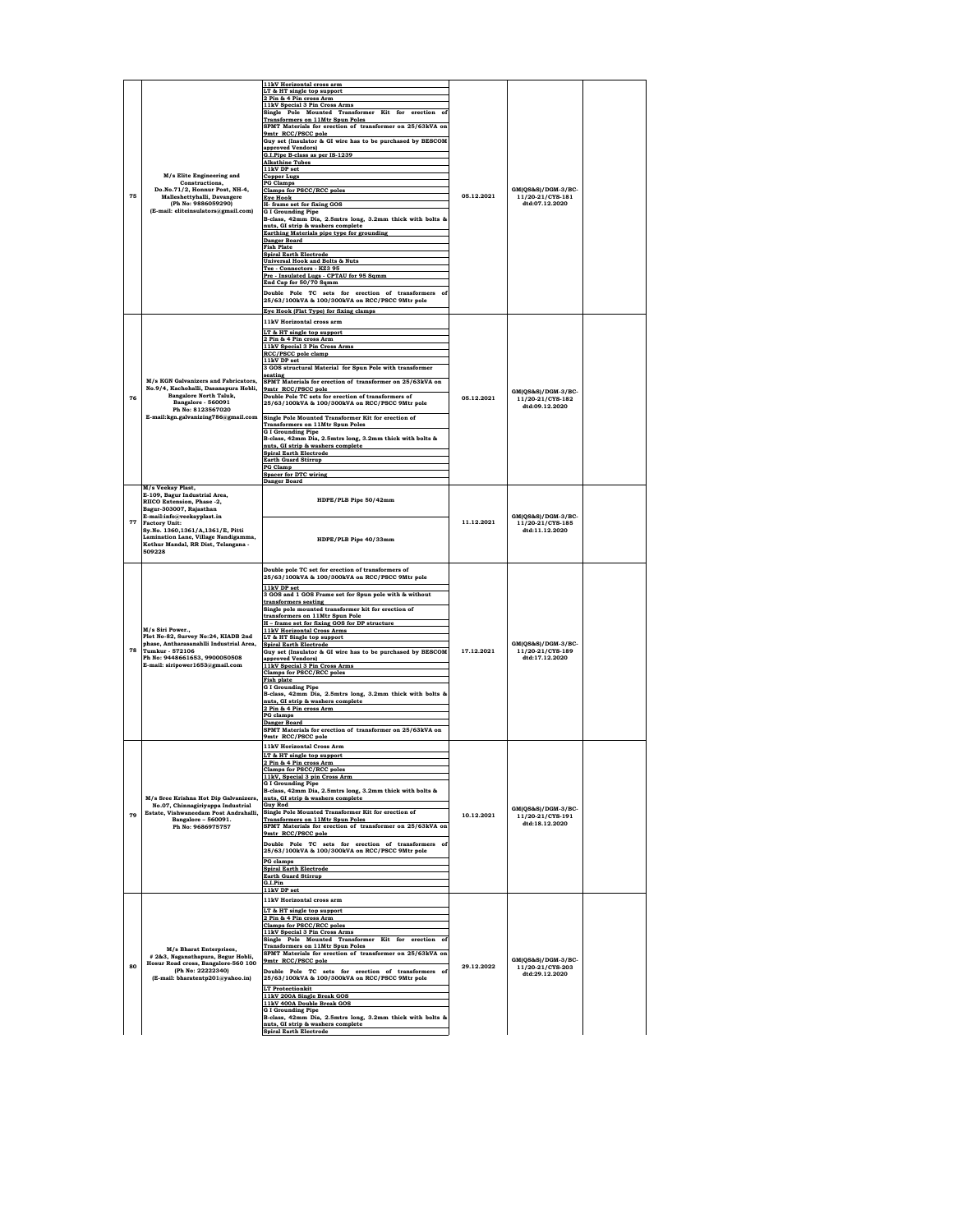| 75 | M/s Elite Engineering and<br>Constructions,<br>Do.No.71/2, Honnur Post, NH-4,<br>Malleshettyhalli, Davangere<br>(Ph No: 9886059290)<br>(E-mail: eliteinsulators@gmail.com)                                                                                                                     | 11kV Horizontal cross arm<br>LT & HT single top support<br>2 Pin & 4 Pin cross Arm<br>11kV Special 3 Pin Cross Arms<br>Single Pole Mounted Transformer Kit for erection of<br><b>Transformers on 11Mtr Spun Poles</b><br>SPMT Materials for erection of transformer on 25/63kVA on<br>9mtr RCC/PSCC pole<br>Guy set (Insulator & GI wire has to be purchased by BESCOM<br>approved Vendors)<br>G.I.Pipe B-class as per IS-1239<br><b>Alkathine Tubes</b><br>11kV DP set<br><b>Copper Lugs</b><br><b>PG Clamps</b><br><b>Clamps for PSCC/RCC poles</b><br><b>Eye Hook</b><br>H- frame set for fixing GOS<br><b>G I Grounding Pipe</b><br>B-class, 42mm Dia, 2.5mtrs long, 3.2mm thick with bolts &<br>nuts, GI strip & washers complete<br>Earthing Materials pipe type for grounding<br>Danger Board<br><b>Fish Plate</b><br><b>Spiral Earth Electrode</b><br><b>Universal Hook and Bolts &amp; Nuts</b><br>Tee - Connectors - KZ3 95<br>Pre - Insulated Lugs - CPTAU for 95 Sqmm<br>End Cap for 50/70 Sqmm<br>Double Pole TC sets for erection of transformers of<br>25/63/100kVA & 100/300kVA on RCC/PSCC 9Mtr pole<br>Eye Hook (Flat Type) for fixing clamps | 05.12.2021 | GM(QS&S)/DGM-3/BC-<br>11/20-21/CYS-181<br>dtd:07.12.2020 |  |
|----|------------------------------------------------------------------------------------------------------------------------------------------------------------------------------------------------------------------------------------------------------------------------------------------------|-----------------------------------------------------------------------------------------------------------------------------------------------------------------------------------------------------------------------------------------------------------------------------------------------------------------------------------------------------------------------------------------------------------------------------------------------------------------------------------------------------------------------------------------------------------------------------------------------------------------------------------------------------------------------------------------------------------------------------------------------------------------------------------------------------------------------------------------------------------------------------------------------------------------------------------------------------------------------------------------------------------------------------------------------------------------------------------------------------------------------------------------------------------------|------------|----------------------------------------------------------|--|
| 76 | M/s KGN Galvanizers and Fabricators,<br>No.9/4, Kachohalli, Dasanapura Hobli,<br><b>Bangalore North Taluk,</b><br>Bangalore - 560091<br>Ph No: 8123567020                                                                                                                                      | 11kV Horizontal cross arm<br>LT & HT single top support<br>2 Pin & 4 Pin cross Arm<br>11kV Special 3 Pin Cross Arms<br>RCC/PSCC pole clamp<br>11kV DP set<br>3 GOS structural Material for Spun Pole with transformer<br>seating<br>SPMT Materials for erection of transformer on 25/63kVA on<br>9mtr RCC/PSCC pole<br>Double Pole TC sets for erection of transformers of<br>25/63/100kVA & 100/300kVA on RCC/PSCC 9Mtr pole<br>E-mail:kgn.galvanizing786@gmail.com Single Pole Mounted Transformer Kit for erection of<br><b>Transformers on 11Mtr Spun Poles</b><br><b>G I Grounding Pipe</b><br>B-class, 42mm Dia, 2.5mtrs long, 3.2mm thick with bolts &<br>nuts, GI strip & washers complete<br><b>Spiral Earth Electrode</b><br><b>Earth Guard Stirrup</b><br><b>PG Clamp</b><br><b>Spacer for DTC wiring</b><br><b>Danger Board</b>                                                                                                                                                                                                                                                                                                                     | 05.12.2021 | GM(QS&S)/DGM-3/BC-<br>11/20-21/CYS-182<br>dtd:09.12.2020 |  |
| 77 | M/s Veekay Plast,<br>E-109, Bagur Industrial Area,<br>RIICO Extension, Phase -2,<br>Bagur-303007, Rajasthan<br>E-mail:info@veekayplast.in<br><b>Factory Unit:</b><br>Sy.No. 1360,1361/A,1361/E, Pitti<br>Lamination Lane, Village Nandigamma,<br>Kothur Mandal, RR Dist, Telangana -<br>509228 | HDPE/PLB Pipe 50/42mm<br>HDPE/PLB Pipe 40/33mm                                                                                                                                                                                                                                                                                                                                                                                                                                                                                                                                                                                                                                                                                                                                                                                                                                                                                                                                                                                                                                                                                                                  | 11.12.2021 | GM(OS&S)/DGM-3/BC-<br>11/20-21/CYS-185<br>dtd:11.12.2020 |  |
| 78 | M/s Siri Power<br>Plot No-82, Survey No:24, KIADB 2nd<br>phase, Antharasanahlli Industrial Area,<br>Tumkur - 572106<br>Ph No: 9448661653, 9900050508<br>E-mail: siripower1653@gmail.com                                                                                                        | Double pole TC set for erection of transformers of<br>25/63/100kVA & 100/300kVA on RCC/PSCC 9Mtr pole<br>11kV DP set<br>3 GOS and 1 GOS Frame set for Spun pole with & without<br>transformers seating<br>Single pole mounted transformer kit for erection of<br>transformers on 11Mtr Spun Pole<br>H - frame set for fixing GOS for DP structure<br><b>11kV Horizontal Cross Arms</b><br>LT & HT Single top support<br><b>Spiral Earth Electrode</b><br>Guy set (Insulator & GI wire has to be purchased by BESCOM<br>approved Vendors)<br>11kV Special 3 Pin Cross Arms<br><b>Clamps for PSCC/RCC poles</b><br><b>Fish plate</b><br><b>G I Grounding Pipe</b><br>B-class, 42mm Dia, 2.5mtrs long, 3.2mm thick with bolts &<br>nuts, GI strip & washers complete<br>2 Pin & 4 Pin cross Arm<br><b>PG</b> clamps<br><b>Danger Board</b><br>SPMT Materials for erection of transformer on 25/63kVA on                                                                                                                                                                                                                                                            | 17.12.2021 | GM(OS&S)/DGM-3/BC-<br>11/20-21/CYS-189<br>dtd:17.12.2020 |  |
| 79 | M/s Sree Krishna Hot Dip Galvanizers,<br>No.07, Chinnagiriyappa Industrial<br>Estate, Vishwaneedam Post Andrahalli,<br>Bangalore - 560091.<br>Ph No: 9686975757                                                                                                                                | 9mtr RCC/PSCC pole<br><b>11kV Horizontal Cross Arm</b><br>LT & HT single top support<br>2 Pin & 4 Pin cross Arm<br><b>Clamps for PSCC/RCC poles</b><br>11kV. Special 3 pin Cro<br><b>G I Grounding Pipe</b><br>B-class, 42mm Dia, 2.5mtrs long, 3.2mm thick with bolts &<br>nuts, GI strip & washers complete<br><b>Guy Rod</b><br>Single Pole Mounted Transformer Kit for erection of<br><b>Transformers on 11Mtr Spun Poles</b><br>SPMT Materials for erection of transformer on 25/63kVA on<br>9mtr_RCC/PSCC_pole<br>Double Pole TC sets for erection of transformers of<br>25/63/100kVA & 100/300kVA on RCC/PSCC 9Mtr pole<br><b>PG</b> clamps<br><b>Spiral Earth Electrode</b><br><b>Earth Guard Stirrup</b><br>G.I.Pin<br>11kV DP set                                                                                                                                                                                                                                                                                                                                                                                                                     | 10.12.2021 | GM(OS&S)/DGM-3/BC-<br>11/20-21/CYS-191<br>dtd:18.12.2020 |  |
| 80 | M/s Bharat Enterprises,<br># 2&3, Naganathapura, Begur Hobli,<br>Hosur Road cross, Bangalore-560 100<br>(Ph No: 22222340)<br>(E-mail: bharatentp201@yahoo.in)                                                                                                                                  | 11kV Horizontal cross arm<br>LT & HT single top support<br>2 Pin & 4 Pin cross Arm<br><b>Clamps for PSCC/RCC poles</b><br>11kV Special 3 Pin Cross Arms<br>Single Pole Mounted Transformer Kit for erection of<br><b>Transformers on 11Mtr Spun Poles</b><br>SPMT Materials for erection of transformer on 25/63kVA on<br>9mtr RCC/PSCC pole<br>Double Pole TC sets for erection of transformers of<br>25/63/100kVA & 100/300kVA on RCC/PSCC 9Mtr pole<br><b>LT Protectionkit</b><br>11kV 200A Single Break GOS<br>11kV 400A Double Break GOS<br><b>G I Grounding Pipe</b><br>B-class, 42mm Dia, 2.5mtrs long, 3.2mm thick with bolts &<br>nuts, GI strip & washers complete<br><b>Spiral Earth Electrode</b>                                                                                                                                                                                                                                                                                                                                                                                                                                                   | 29.12.2022 | GM(QS&S)/DGM-3/BC-<br>11/20-21/CYS-203<br>dtd:29.12.2020 |  |